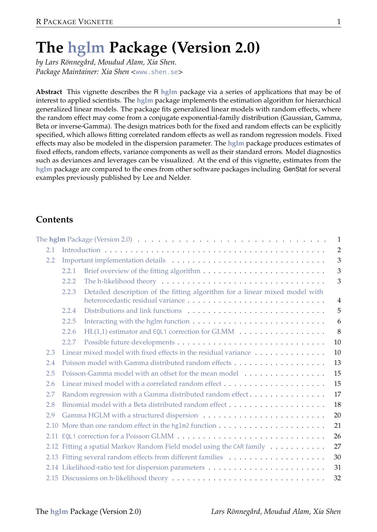# **The hglm Package (Version 2.0)**

*by Lars Rönnegård, Moudud Alam, Xia Shen. Package Maintainer: Xia Shen <*www.shen.se*>*

**Abstract** This vignette describes the R **hglm** package via a series of applications that may be of interest to applied scientists. The **hglm** package implements the estimation algorithm for hierarchical generalized linear models. The package fits generalized linear models with random effects, where the random effect may come from a conjugate exponential-family distribution (Gaussian, Gamma, Beta or inverse-Gamma). The design matrices both for the fixed and random effects can be explicitly specified, which allows fitting correlated random effects as well as random regression models. Fixed effects may also be modeled in the dispersion parameter. The **hglm** package produces estimates of fixed effects, random effects, variance components as well as their standard errors. Model diagnostics such as deviances and leverages can be visualized. At the end of this vignette, estimates from the **hglm** package are compared to the ones from other software packages including GenStat for several examples previously published by Lee and Nelder.

# **Contents**

|     | The hglm Package (Version 2.0) $\ldots \ldots \ldots \ldots \ldots \ldots \ldots \ldots \ldots \ldots \ldots \ldots \ldots$ | 1              |
|-----|-----------------------------------------------------------------------------------------------------------------------------|----------------|
| 2.1 |                                                                                                                             | $\overline{2}$ |
| 2.2 |                                                                                                                             | 3              |
|     | 2.2.1                                                                                                                       | 3              |
|     | 2.2.2                                                                                                                       | 3              |
|     | Detailed description of the fitting algorithm for a linear mixed model with<br>2.2.3                                        | $\overline{4}$ |
|     | 2.2.4                                                                                                                       | 5              |
|     | 2.2.5                                                                                                                       | 6              |
|     | HL(1,1) estimator and EQL1 correction for GLMM<br>2.2.6                                                                     | 8              |
|     | 2.2.7                                                                                                                       | 10             |
| 2.3 | Linear mixed model with fixed effects in the residual variance                                                              | 10             |
| 2.4 |                                                                                                                             | 13             |
| 2.5 | Poisson-Gamma model with an offset for the mean model                                                                       | 15             |
| 2.6 | Linear mixed model with a correlated random effect $\ldots$ , $\ldots$ , $\ldots$ , $\ldots$ , $\ldots$ ,                   | 15             |
| 2.7 | Random regression with a Gamma distributed random effect                                                                    | 17             |
| 2.8 |                                                                                                                             | 18             |
| 2.9 |                                                                                                                             | 20             |
|     |                                                                                                                             | 21             |
|     |                                                                                                                             | 26             |
|     | 2.12 Fitting a spatial Markov Random Field model using the CAR family                                                       | 27             |
|     |                                                                                                                             | 30             |
|     |                                                                                                                             | 31             |
|     |                                                                                                                             | 32             |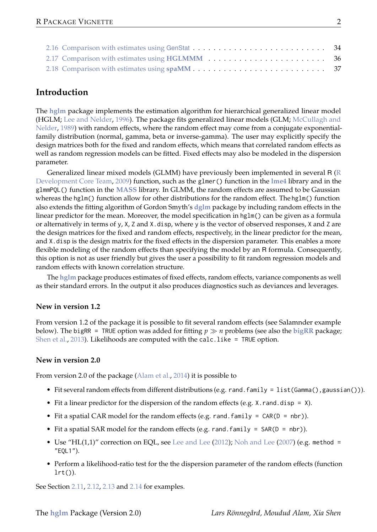## **Introduction**

The **hglm** package implements the estimation algorithm for hierarchical generalized linear model (HGLM; Lee and Nelder, 1996). The package fits generalized linear models (GLM; McCullagh and Nelder, 1989) with random effects, where the random effect may come from a conjugate exponentialfamily distribution (normal, gamma, beta or inverse-gamma). The user may explicitly specify the design matrices both for the fixed and random effects, which means that correlated random effects as well as random regression models can be fitted. Fixed effects may also be modeled in the dispersion parameter.

Generalized linear mixed models (GLMM) have previously been implemented in several R (R Development Core Team, 2009) function, such as the glmer() function in the **lme4** library and in the glmmPQL() function in the **MASS** library. In GLMM, the random effects are assumed to be Gaussian whereas the hglm() function allow for other distributions for the random effect. The hglm() function also extends the fitting algorithm of Gordon Smyth's **dglm** package by including random effects in the linear predictor for the mean. Moreover, the model specification in hglm() can be given as a formula or alternatively in terms of y, X, Z and X.disp, where y is the vector of observed responses, X and Z are the design matrices for the fixed and random effects, respectively, in the linear predictor for the mean, and X.disp is the design matrix for the fixed effects in the dispersion parameter. This enables a more flexible modeling of the random effects than specifying the model by an R formula. Consequently, this option is not as user friendly but gives the user a possibility to fit random regression models and random effects with known correlation structure.

The **hglm** package produces estimates of fixed effects, random effects, variance components as well as their standard errors. In the output it also produces diagnostics such as deviances and leverages.

#### **New in version 1.2**

From version 1.2 of the package it is possible to fit several random effects (see Salamnder example below). The bigRR = TRUE option was added for fitting *p n* problems (see also the **bigRR** package; Shen et al., 2013). Likelihoods are computed with the calc.like = TRUE option.

#### **New in version 2.0**

From version 2.0 of the package (Alam et al., 2014) it is possible to

- Fit several random effects from different distributions (e.g. rand.family = list(Gamma(),gaussian())).
- Fit a linear predictor for the dispersion of the random effects (e.g.  $X$ . rand.disp =  $X$ ).
- Fit a spatial CAR model for the random effects (e.g. rand. family =  $CAR(D = nbr)$ ).
- Fit a spatial SAR model for the random effects (e.g. rand.family = SAR(D = nbr)).
- Use "HL(1,1)" correction on EQL, see Lee and Lee (2012); Noh and Lee (2007) (e.g. method = "EQL1").
- Perform a likelihood-ratio test for the the dispersion parameter of the random effects (function  $lrt()$ ).

See Section 2.11, 2.12, 2.13 and 2.14 for examples.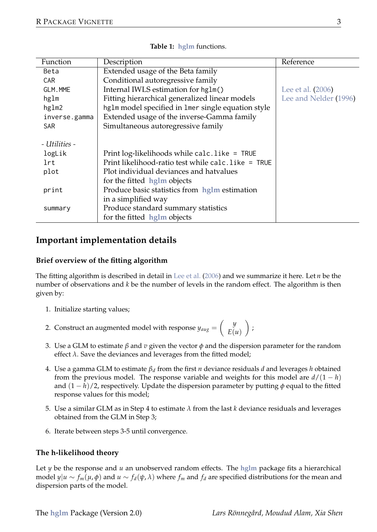| Function      | Description                                        | Reference             |
|---------------|----------------------------------------------------|-----------------------|
| Beta          | Extended usage of the Beta family                  |                       |
| CAR           | Conditional autoregressive family                  |                       |
| GLM.MME       | Internal IWLS estimation for hg1m()                | Lee et al. (2006)     |
| hglm          | Fitting hierarchical generalized linear models     | Lee and Nelder (1996) |
| hglm2         | hg1m model specified in 1mer single equation style |                       |
| inverse.gamma | Extended usage of the inverse-Gamma family         |                       |
| <b>SAR</b>    | Simultaneous autoregressive family                 |                       |
| - Utilities - |                                                    |                       |
| logLik        | Print log-likelihoods while calc. like = TRUE      |                       |
| lrt           | Print likelihood-ratio test while calc.like = TRUE |                       |
| plot          | Plot individual deviances and hatvalues            |                       |
|               | for the fitted hglm objects                        |                       |
| print         | Produce basic statistics from hglm estimation      |                       |
|               | in a simplified way                                |                       |
| summary       | Produce standard summary statistics                |                       |
|               | for the fitted hglm objects                        |                       |

**Table 1: hglm** functions.

## **Important implementation details**

#### **Brief overview of the fitting algorithm**

The fitting algorithm is described in detail in Lee et al. (2006) and we summarize it here. Let *n* be the number of observations and *k* be the number of levels in the random effect. The algorithm is then given by:

- 1. Initialize starting values;
- 2. Construct an augmented model with response  $y_{aug} = \begin{pmatrix} y \\ E(u) \end{pmatrix}$ ;
- 3. Use a GLM to estimate *β* and *v* given the vector *φ* and the dispersion parameter for the random effect *λ*. Save the deviances and leverages from the fitted model;
- 4. Use a gamma GLM to estimate *β<sup>d</sup>* from the first *n* deviance residuals *d* and leverages *h* obtained from the previous model. The response variable and weights for this model are  $d/(1 - h)$ and (1 − *h*)/2, respectively. Update the dispersion parameter by putting *φ* equal to the fitted response values for this model;
- 5. Use a similar GLM as in Step 4 to estimate *λ* from the last *k* deviance residuals and leverages obtained from the GLM in Step 3;
- 6. Iterate between steps 3-5 until convergence.

## **The h-likelihood theory**

Let  $y$  be the response and  $u$  an unobserved random effects. The  $hglm$  package fits a hierarchical model  $y|u \sim f_m(\mu, \phi)$  and  $u \sim f_d(\psi, \lambda)$  where  $f_m$  and  $f_d$  are specified distributions for the mean and dispersion parts of the model.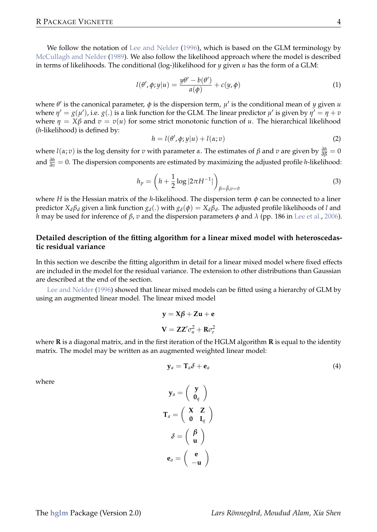We follow the notation of Lee and Nelder (1996), which is based on the GLM terminology by McCullagh and Nelder (1989). We also follow the likelihood approach where the model is described in terms of likelihoods. The conditional (log-)likelihood for *y* given *u* has the form of a GLM:

$$
l(\theta', \phi; y | u) = \frac{y\theta' - b(\theta')}{a(\phi)} + c(y, \phi)
$$
\n(1)

where  $\theta'$  is the canonical parameter,  $\phi$  is the dispersion term,  $\mu'$  is the conditional mean of *y* given *u* where  $\eta' = g(\mu')$ , i.e.  $g(.)$  is a link function for the GLM. The linear predictor  $\mu'$  is given by  $\eta' = \eta + v$ where  $\eta = X\beta$  and  $v = v(u)$  for some strict monotonic function of *u*. The hierarchical likelihood (*h*-likelihood) is defined by:

$$
h = l(\theta', \phi; y | u) + l(\alpha; v)
$$
\n<sup>(2)</sup>

where *l*(*α*; *v*) is the log density for *v* with parameter *α*. The estimates of *β* and *v* are given by  $\frac{\partial h}{\partial \beta} = 0$ and *<sup>∂</sup><sup>h</sup> <sup>∂</sup><sup>v</sup>* = 0. The dispersion components are estimated by maximizing the adjusted profile *<sup>h</sup>*-likelihood:

$$
h_p = \left(h + \frac{1}{2}\log|2\pi H^{-1}|\right)_{\beta = \beta, v = \theta} \tag{3}
$$

where *H* is the Hessian matrix of the *h*-likelihood. The dispersion term *φ* can be connected to a liner predictor  $X_d\beta_d$  given a link function  $g_d(.)$  with  $g_d(\phi) = X_d\beta_d$ . The adjusted profile likelihoods of *l* and *h* may be used for inference of *β*, *v* and the dispersion parameters *φ* and *λ* (pp. 186 in Lee et al., 2006).

#### **Detailed description of the fitting algorithm for a linear mixed model with heteroscedastic residual variance**

In this section we describe the fitting algorithm in detail for a linear mixed model where fixed effects are included in the model for the residual variance. The extension to other distributions than Gaussian are described at the end of the section.

Lee and Nelder (1996) showed that linear mixed models can be fitted using a hierarchy of GLM by using an augmented linear model. The linear mixed model

$$
y = X\beta + Zu + e
$$

$$
V = ZZ'\sigma_u^2 + R\sigma_e^2
$$

where **R** is a diagonal matrix, and in the first iteration of the HGLM algorithm **R** is equal to the identity matrix. The model may be written as an augmented weighted linear model:

$$
\mathbf{y}_a = \mathbf{T}_a \delta + \mathbf{e}_a \tag{4}
$$

where

$$
\mathbf{y}_a = \begin{pmatrix} \mathbf{y} \\ \mathbf{0}_q \end{pmatrix}
$$

$$
\mathbf{T}_a = \begin{pmatrix} \mathbf{X} & \mathbf{Z} \\ \mathbf{0} & \mathbf{I}_q \end{pmatrix}
$$

$$
\delta = \begin{pmatrix} \beta \\ \mathbf{u} \end{pmatrix}
$$

$$
\mathbf{e}_a = \begin{pmatrix} \mathbf{e} \\ -\mathbf{u} \end{pmatrix}
$$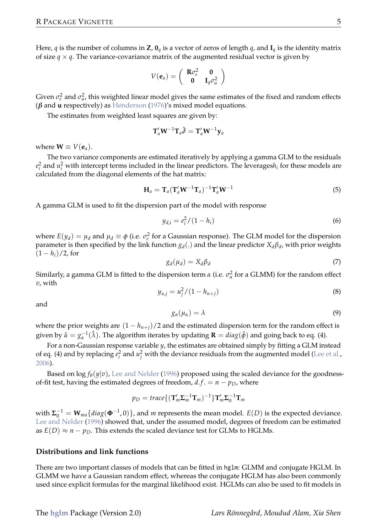Here, *q* is the number of columns in **Z**,  $\mathbf{0}_q$  is a vector of zeros of length *q*, and  $\mathbf{I}_q$  is the identity matrix of size  $q \times q$ . The variance-covariance matrix of the augmented residual vector is given by

$$
V(\mathbf{e}_a) = \left(\begin{array}{cc} \mathbf{R}\sigma_e^2 & \mathbf{0} \\ \mathbf{0} & \mathbf{I}_q\sigma_u^2 \end{array}\right)
$$

Given  $\sigma_e^2$  and  $\sigma_u^2$ , this weighted linear model gives the same estimates of the fixed and random effects (*β* and **u** respectively) as Henderson (1976)'s mixed model equations.

The estimates from weighted least squares are given by:

$$
\mathbf{T}_a' \mathbf{W}^{-1} \mathbf{T}_a \hat{\boldsymbol{\delta}} = \mathbf{T}_a' \mathbf{W}^{-1} \mathbf{y}_a
$$

where  $W \equiv V(e_a)$ .

The two variance components are estimated iteratively by applying a gamma GLM to the residuals  $e_i^2$  and  $u_i^2$  with intercept terms included in the linear predictors. The leverages $h_i$  for these models are calculated from the diagonal elements of the hat matrix:

$$
\mathbf{H}_a = \mathbf{T}_a (\mathbf{T}_a' \mathbf{W}^{-1} \mathbf{T}_a)^{-1} \mathbf{T}_a' \mathbf{W}^{-1}
$$
\n<sup>(5)</sup>

A gamma GLM is used to fit the dispersion part of the model with response

$$
y_{d,i} = e_i^2 / (1 - h_i) \tag{6}
$$

where  $E(y_d) = \mu_d$  and  $\mu_d \equiv \phi$  (i.e.  $\sigma_e^2$  for a Gaussian response). The GLM model for the dispersion parameter is then specified by the link function *gd*(.) and the linear predictor *Xdβ<sup>d</sup>* , with prior weights  $(1 - h_i)/2$ , for

$$
g_d(\mu_d) = X_d \beta_d \tag{7}
$$

Similarly, a gamma GLM is fitted to the dispersion term *α* (i.e.  $\sigma_u^2$  for a GLMM) for the random effect *v*, with

$$
y_{\alpha,j} = u_j^2 / (1 - h_{n+j})
$$
\n(8)

and

$$
g_{\alpha}(\mu_{\alpha}) = \lambda \tag{9}
$$

where the prior weights are  $(1 - h_{n+i})/2$  and the estimated dispersion term for the random effect is given by  $\hat{\alpha} = g_{\alpha}^{-1}(\hat{\lambda})$ . The algorithm iterates by updating  $\mathbf{R} = diag(\hat{\phi})$  and going back to eq. (4).

For a non-Gaussian response variable *y*, the estimates are obtained simply by fitting a GLM instead of eq. (4) and by replacing  $e_i^2$  and  $u_j^2$  with the deviance residuals from the augmented model (Lee et al., 2006).

Based on  $\log f_{\theta}(y|v)$ , Lee and Nelder (1996) proposed using the scaled deviance for the goodnessof-fit test, having the estimated degrees of freedom,  $d.f. = n - p_D$ , where

$$
p_D = \text{trace}\{ (\mathbf{T}_m' \mathbf{\Sigma}_m^{-1} \mathbf{T}_m)^{-1} \} \mathbf{T}_m' \mathbf{\Sigma}_0^{-1} \mathbf{T}_m
$$

with  $\Sigma_0^{-1} = \mathbf{W}_{ma} \{ diag(\mathbf{\Phi}^{-1}, 0) \}$ , and *m* represents the mean model.  $E(D)$  is the expected deviance. Lee and Nelder (1996) showed that, under the assumed model, degrees of freedom can be estimated as  $E(D) \approx n - p_D$ . This extends the scaled deviance test for GLMs to HGLMs.

#### **Distributions and link functions**

There are two important classes of models that can be fitted in hglm: GLMM and conjugate HGLM. In GLMM we have a Gaussian random effect, whereas the conjugate HGLM has also been commonly used since explicit formulas for the marginal likelihood exist. HGLMs can also be used to fit models in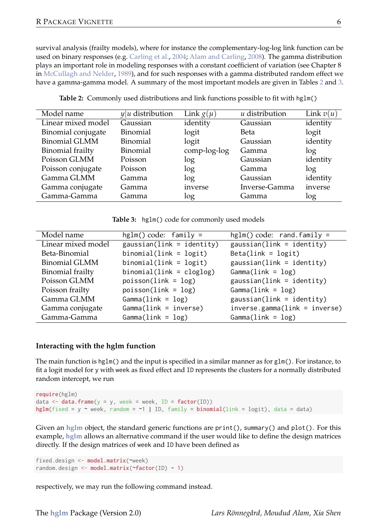survival analysis (frailty models), where for instance the complementary-log-log link function can be used on binary responses (e.g. Carling et al., 2004; Alam and Carling, 2008). The gamma distribution plays an important role in modeling responses with a constant coefficient of variation (see Chapter 8 in McCullagh and Nelder, 1989), and for such responses with a gamma distributed random effect we have a gamma-gamma model. A summary of the most important models are given in Tables 2 and 3.

| Model name           | $y u$ distribution | Link $g(\mu)$ | u distribution | Link $v(u)$ |
|----------------------|--------------------|---------------|----------------|-------------|
| Linear mixed model   | Gaussian           | identity      | Gaussian       | identity    |
| Binomial conjugate   | Binomial           | logit         | Beta           | logit       |
| <b>Binomial GLMM</b> | Binomial           | logit         | Gaussian       | identity    |
| Binomial frailty     | Binomial           | comp-log-log  | Gamma          | log         |
| Poisson GLMM         | Poisson            | log           | Gaussian       | identity    |
| Poisson conjugate    | Poisson            | log           | Gamma          | log         |
| Gamma GLMM           | Gamma              | log           | Gaussian       | identity    |
| Gamma conjugate      | Gamma              | inverse       | Inverse-Gamma  | inverse     |
| Gamma-Gamma          | Gamma              | log           | Gamma          | log         |

**Table 2:** Commonly used distributions and link functions possible to fit with hglm()

**Table 3:** hglm() code for commonly used models

| Model name              | $hglm() code: family =$     | $hglm() code: rand-family =$  |
|-------------------------|-----------------------------|-------------------------------|
| Linear mixed model      | $gaussian(link = identity)$ | $gaussian(link = identity)$   |
| Beta-Binomial           | $binomial(link = logit)$    | $Beta(link = logit)$          |
| <b>Binomial GLMM</b>    | $binomial(link = logit)$    | $gaussian(link = identity)$   |
| <b>Binomial</b> frailty | $binomial(link = cloglog)$  | $Gamma(link = log)$           |
| Poisson GLMM            | $poisson(link = log)$       | $gaussian(link = identity)$   |
| Poisson frailty         | $poisson(link = log)$       | $Gamma(link = log)$           |
| Gamma GLMM              | $Gamma(1ink = log)$         | $gaussian(link = identity)$   |
| Gamma conjugate         | $Gamma(link = inverse)$     | inverse.gamma(link = inverse) |
| Gamma-Gamma             | $Gamma(1ink = log)$         | $Gamma(link = log)$           |

#### **Interacting with the hglm function**

The main function is hglm() and the input is specified in a similar manner as for glm(). For instance, to fit a logit model for y with week as fixed effect and ID represents the clusters for a normally distributed random intercept, we run

```
require(hglm)
data \leq data.frame(y = y, week = week, ID = factor(ID))
hglm(fixed = y ~ week, random = ~1 | ID, family = binomial(link = logit), data = data)
```
Given an **hglm** object, the standard generic functions are print(), summary() and plot(). For this example, **hglm** allows an alternative command if the user would like to define the design matrices directly. If the design matrices of week and ID have been defined as

```
fixed.design <- model.matrix(~week)
random.design <- model.matrix(~factor(ID) - 1)
```
respectively, we may run the following command instead.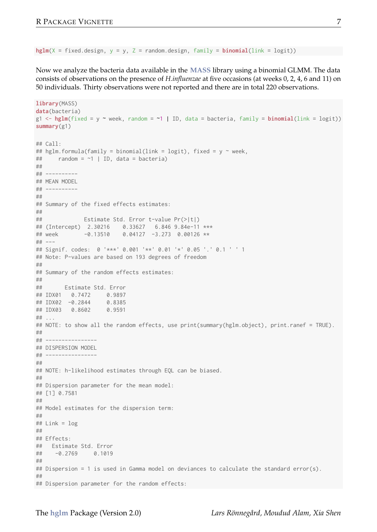hglm(X = fixed.design, y = y, Z = random.design, family =  $binomial(link = logit)$ )

Now we analyze the bacteria data available in the **MASS** library using a binomial GLMM. The data consists of observations on the presence of *H.influenzae* at five occasions (at weeks 0, 2, 4, 6 and 11) on 50 individuals. Thirty observations were not reported and there are in total 220 observations.

```
library(MASS)
data(bacteria)
g1 \leftarrow hglm(fixed = y \sim week, random = \sim 1 \mid ID, data = bacteria, family = binomial(link = logit))summary(g1)
## Call:
## hglm.formula(family = binomial(link = logit), fixed = y ~ week,
     r random = ~1 | ID, data = bacteria)
##
## ----------
## MEAN MODEL
## ----------
##
## Summary of the fixed effects estimates:
\begin{array}{c} #\# \\ #\# \end{array}Estimate Std. Error t-value Pr(>|t|)
## (Intercept) 2.30216 0.33627 6.846 9.84e-11 ***
## week -0.13510 0.04127 -3.273 0.00126 **
## ---
## Signif. codes: 0 '***' 0.001 '**' 0.01 '*' 0.05 '.' 0.1 ' ' 1
## Note: P-values are based on 193 degrees of freedom
##
## Summary of the random effects estimates:
##
       Estimate Std. Error
## IDX01 0.7472 0.9897
## IDX02 -0.2844 0.8385
## IDX03 0.8602 0.9591
## ...
## NOTE: to show all the random effects, use print(summary(hglm.object), print.ranef = TRUE).
##
## ----------------
## DISPERSION MODEL
## ----------------
##
## NOTE: h-likelihood estimates through EQL can be biased.
##
## Dispersion parameter for the mean model:
## [1] 0.7581
##
## Model estimates for the dispersion term:
##
## Link = log
##
## Effects:
## Estimate Std. Error<br>## = = 2769 8 1819
    -0.2769 0.1019
##
## Dispersion = 1 is used in Gamma model on deviances to calculate the standard error(s).
##
## Dispersion parameter for the random effects:
```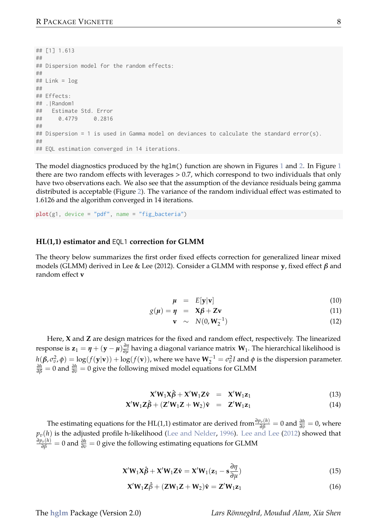```
## [1] 1.613
##
## Dispersion model for the random effects:
##
## Link = log
##
## Effects:
## .|Random1
## Estimate Std. Error
## 0.4779 0.2816
##
## Dispersion = 1 is used in Gamma model on deviances to calculate the standard error(s).
##
## EOL estimation converged in 14 iterations.
```
The model diagnostics produced by the hglm() function are shown in Figures 1 and 2. In Figure 1 there are two random effects with leverages > 0.7, which correspond to two individuals that only have two observations each. We also see that the assumption of the deviance residuals being gamma distributed is acceptable (Figure 2). The variance of the random individual effect was estimated to 1.6126 and the algorithm converged in 14 iterations.

 $plot(g1, device = "pdf", name = "fie bacteria")$ 

#### **HL(1,1) estimator and** EQL1 **correction for GLMM**

The theory below summarizes the first order fixed effects correction for generalized linear mixed models (GLMM) derived in Lee & Lee (2012). Consider a GLMM with response **y**, fixed effect *β* and random effect **v**

$$
\mu = E[\mathbf{y}|\mathbf{v}] \tag{10}
$$

$$
g(\mu) = \eta = X\beta + Zv \tag{11}
$$

$$
\mathbf{v} \sim N(0, \mathbf{W}_2^{-1}) \tag{12}
$$

Here, **X** and **Z** are design matrices for the fixed and random effect, respectively. The linearized response is  $z_1 = \eta + (y - \mu) \frac{\partial \eta}{\partial \mu}$  having a diagonal variance matrix  $W_1$ . The hierarchical likelihood is  $h(\beta, \sigma_v^2, \phi) = \log(f(\mathbf{y}|\mathbf{v})) + \log(f(\mathbf{v}))$ , where we have  $\mathbf{W}_2^{-1} = \sigma_v^2 I$  and  $\phi$  is the dispersion parameter. *∂h* = 0 and  $\frac{\partial h}{\partial \beta}$  = 0 give the following mixed model equations for GLMM

$$
\mathbf{X}'\mathbf{W}_1\mathbf{X}\hat{\boldsymbol{\beta}} + \mathbf{X}'\mathbf{W}_1\mathbf{Z}\hat{\mathbf{v}} = \mathbf{X}'\mathbf{W}_1\mathbf{z}_1 \tag{13}
$$

$$
\mathbf{X}'\mathbf{W}_1\mathbf{Z}\hat{\boldsymbol{\beta}} + (\mathbf{Z}'\mathbf{W}_1\mathbf{Z} + \mathbf{W}_2)\hat{\mathbf{v}} = \mathbf{Z}'\mathbf{W}_1\mathbf{z}_1 \tag{14}
$$

The estimating equations for the HL(1,1) estimator are derived from  $\frac{\partial p_{\bar{v}}(h)}{\partial \beta} = 0$  and  $\frac{\partial h}{\partial \bar{v}} = 0$ , where  $p_v(h)$  is the adjusted profile h-likelihood (Lee and Nelder, 1996). Lee and Lee (2012) showed that *∂p*<sup>*s*</sup>(*h*)</sub> = 0 and  $\frac{\partial h}{\partial v}$  = 0 give the following estimating equations for GLMM

$$
\mathbf{X}'\mathbf{W}_1\mathbf{X}\hat{\boldsymbol{\beta}} + \mathbf{X}'\mathbf{W}_1\mathbf{Z}\hat{\mathbf{v}} = \mathbf{X}'\mathbf{W}_1(\mathbf{z}_1 - \mathbf{s}\frac{\partial \eta}{\partial \mu})
$$
(15)

$$
\mathbf{X}'\mathbf{W}_1\mathbf{Z}\hat{\beta} + (\mathbf{Z}\mathbf{W}_1\mathbf{Z} + \mathbf{W}_2)\hat{\mathbf{v}} = \mathbf{Z}'\mathbf{W}_1\mathbf{z}_1
$$
\n(16)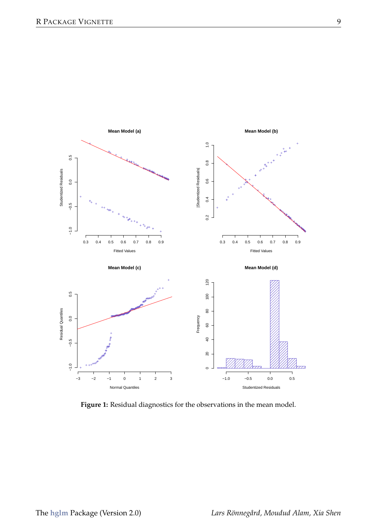

**Figure 1:** Residual diagnostics for the observations in the mean model.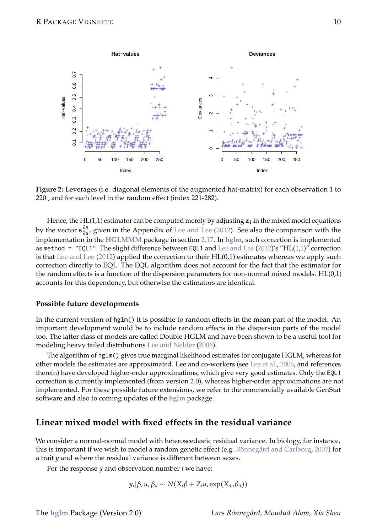

**Figure 2:** Leverages (i.e. diagonal elements of the augmented hat-matrix) for each observation 1 to 220 , and for each level in the random effect (index 221-282).

Hence, the HL(1,1) estimator can be computed merely by adjusting  $z_1$  in the mixed model equations by the vector **s** *∂η ∂µ* , given in the Appendix of Lee and Lee (2012). See also the comparison with the implementation in the **HGLMMM** package in section 2.17. In **hglm**, such correction is implemented as method = "EQL1". The slight difference between EQL1 and Lee and Lee (2012)'s "HL(1,1)" correction is that Lee and Lee (2012) applied the correction to their HL(0,1) estimates whereas we apply such correction directly to EQL. The EQL algorithm does not account for the fact that the estimator for the random effects is a function of the dispersion parameters for non-normal mixed models. HL(0,1) accounts for this dependency, but otherwise the estimators are identical.

#### **Possible future developments**

In the current version of hglm() it is possible to random effects in the mean part of the model. An important development would be to include random effects in the dispersion parts of the model too. The latter class of models are called Double HGLM and have been shown to be a useful tool for modeling heavy tailed distributions Lee and Nelder (2006).

The algorithm of hglm() gives true marginal likelihood estimates for conjugate HGLM, whereas for other models the estimates are approximated. Lee and co-workers (see Lee et al., 2006, and references therein) have developed higher-order approximations, which give very good estimates. Only the EQL1 correction is currently implemented (from version 2.0), whereas higher-order approximations are not implemented. For these possible future extensions, we refer to the commercially available GenStat software and also to coming updates of the **hglm** package.

### **Linear mixed model with fixed effects in the residual variance**

We consider a normal-normal model with heteroscedastic residual variance. In biology, for instance, this is important if we wish to model a random genetic effect (e.g. Rönnegård and Carlborg, 2007) for a trait *y* and where the residual variance is different between sexes.

For the response *y* and observation number *i* we have:

$$
y_i | \beta, u, \beta_d \sim N(X_i \beta + Z_i u, \exp(X_{d,i} \beta_d))
$$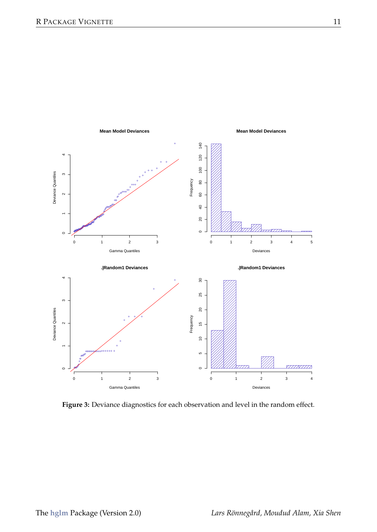

**Figure 3:** Deviance diagnostics for each observation and level in the random effect.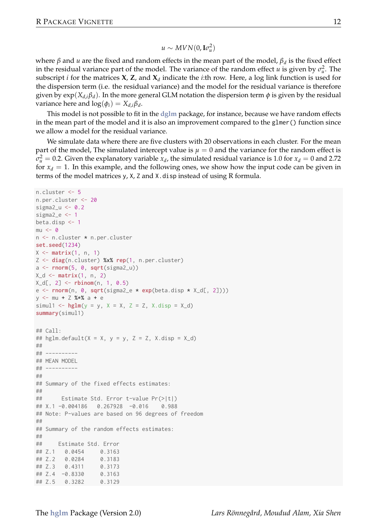$$
u \sim MVN(0,\mathbf{I}\sigma_u^2)
$$

where *β* and *u* are the fixed and random effects in the mean part of the model, *β<sup>d</sup>* is the fixed effect in the residual variance part of the model. The variance of the random effect *u* is given by  $\sigma_u^2$ . The subscript *i* for the matrices **X**, **Z**, and **X**<sub>*d*</sub> indicate the *i*:th row. Here, a log link function is used for the dispersion term (i.e. the residual variance) and the model for the residual variance is therefore given by  $exp(X_{d,i}\beta_d)$ . In the more general GLM notation the dispersion term  $\phi$  is given by the residual variance here and  $log(\phi_i) = X_{d,i} \beta_d$ .

This model is not possible to fit in the **dglm** package, for instance, because we have random effects in the mean part of the model and it is also an improvement compared to the glmer() function since we allow a model for the residual variance.

We simulate data where there are five clusters with 20 observations in each cluster. For the mean part of the model, The simulated intercept value is  $\mu = 0$  and the variance for the random effect is  $\sigma_u^2 = 0.2$ . Given the explanatory variable *x<sub>d</sub>*, the simulated residual variance is 1.0 for *x<sub>d</sub>* = 0 and 2.72 for  $x_d = 1$ . In this example, and the following ones, we show how the input code can be given in terms of the model matrices y, X, Z and X.disp instead of using R formula.

```
n.cluster <- 5
n.per.cluster <- 20
sigma2_u \leftarrow 0.2sigma2_e <- 1
beta.disp <- 1
m<sub>1</sub> < \alphan <- n.cluster * n.per.cluster
set.seed(1234)
X \leftarrow matrix(1, n, 1)Z <- diag(n.cluster) %x% rep(1, n.per.cluster)
a <- rnorm(5, 0, sqrt(sigma2_u))
X_d \leftarrow matrix(1, n, 2)X df, 2] \leq rbinom(n, 1, 0.5)
e \leq rnorm(n, 0, sqrt(sigma2_e * exp(beta.disp * X_d[, 2])))
y <- mu + Z %*% a + e
simul1 <- hglm(y = y, X = X, Z = Z, X.disp = X_dsummary(simul1)
## Call:
## hglm.default(X = X, y = y, Z = Z, X.disp = X_d)
##
## ----------
## MEAN MODEL
## ----------
##
## Summary of the fixed effects estimates:
##
## Estimate Std. Error t-value Pr(>|t|)
## X.1 -0.004186 0.267928 -0.016 0.988
## Note: P-values are based on 96 degrees of freedom
##
## Summary of the random effects estimates:
##
## Estimate Std. Error
## Z.1 0.0454 0.3163
## Z.2 0.0284 0.3183
## 7.3 0.4311## Z.4 -0.8330 0.3163
## Z.5 0.3282 0.3129
```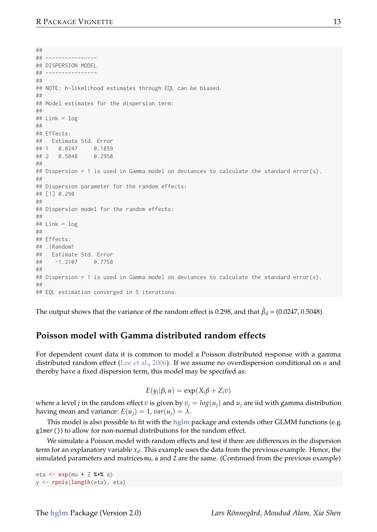```
##
## ----------------
## DISPERSION MODEL
## ----------------
##
## NOTE: h-likelihood estimates through EQL can be biased.
##
## Model estimates for the dispersion term:
##
## Link = log
##
## Fffects:
## Estimate Std. Error
## 1 0.0247 0.1859
\# 2 \qquad 0.5048##
## Dispersion = 1 is used in Gamma model on deviances to calculate the standard error(s).
##
## Dispersion parameter for the random effects:
## [1] 0.298
##
## Dispersion model for the random effects:
##
## Link = log
##
## Fffects:
## . IRandom1
## Estimate Std. Error
## -1.2107 0.7758
##
## Dispersion = 1 is used in Gamma model on deviances to calculate the standard error(s).
##
## EQL estimation converged in 5 iterations
```
The output shows that the variance of the random effect is 0.298, and that  $β<sub>d</sub> = (0.0247, 0.5048)$ .

# **Poisson model with Gamma distributed random effects**

For dependent count data it is common to model a Poisson distributed response with a gamma distributed random effect (Lee et al., 2006). If we assume no overdispersion conditional on *u* and thereby have a fixed dispersion term, this model may be specified as:

$$
E(y_i|\beta, u) = \exp(X_i\beta + Z_i v)
$$

where a level *j* in the random effect *v* is given by  $v_i = log(u_i)$  and  $u_i$  are iid with gamma distribution having mean and variance:  $E(u_i) = 1$ ,  $var(u_i) = \lambda$ .

This model is also possible to fit with the **hglm** package and extends other GLMM functions (e.g. glmer()) to allow for non-normal distributions for the random effect.

We simulate a Poisson model with random effects and test if there are differences in the dispersion term for an explanatory variable *x<sup>d</sup>* . This example uses the data from the previous example. Hence, the simulated parameters and matrices mu, a and Z are the same. (Continued from the previous example)

```
eta <- exp(mu + Z %*% a)
y <- rpois(length(eta), eta)
```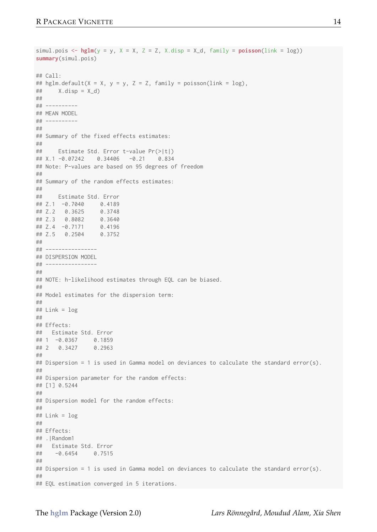```
simul.pois \leq - hglm(y = y, X = X, Z = Z, X.disp = X_d, family = poisson(link = log))
summary(simul.pois)
## Call:
## hglm.default(X = X, y = y, Z = Z, family = poisson(link = \log).
## X.disp = X_d)##
## ----------
## MEAN MODEL
## ----------
##
## Summary of the fixed effects estimates:
##
## Estimate Std. Error t-value Pr(>|t|)
## X.1 -0.07242 0.34406 -0.21 0.834
## Note: P-values are based on 95 degrees of freedom
##
## Summary of the random effects estimates:
##
## Estimate Std. Error
## Z.1 -0.7040 0.4189
## Z.2 0.3625 0.3748
## Z.3 0.8082 0.3640
## 7.4 -0.7171## Z.5 0.2504 0.3752
##
## ----------------
## DISPERSION MODEL
## ----------------
##
## NOTE: h-likelihood estimates through EQL can be biased.
##
## Model estimates for the dispersion term:
##
# Link = log##
## Effects:
## Estimate Std. Error
## 1 -0.0367 0.1859
## 2 0.3427
##
## Dispersion = 1 is used in Gamma model on deviances to calculate the standard error(s).
##
## Dispersion parameter for the random effects:
## [1] 0.5244
##
## Dispersion model for the random effects:
##
## Link = log
##
## Fffects:
## .|Random1
## Estimate Std. Error<br>## = 0.6454 0.7515
   -0.6454 0.7515
##
## Dispersion = 1 is used in Gamma model on deviances to calculate the standard error(s).
##
## EQL estimation converged in 5 iterations.
```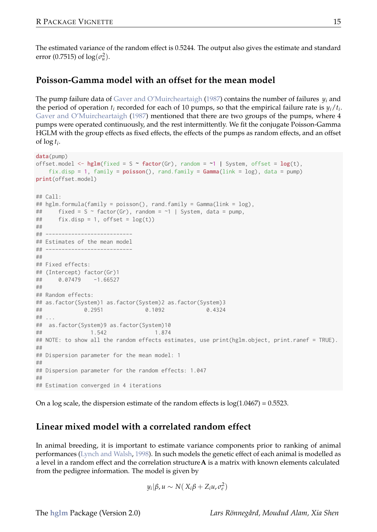The estimated variance of the random effect is 0.5244. The output also gives the estimate and standard error (0.7515) of  $\log(\sigma_u^2)$ .

## **Poisson-Gamma model with an offset for the mean model**

The pump failure data of Gaver and O'Muircheartaigh (1987) contains the number of failures *y<sup>i</sup>* and the period of operation  $t_i$  recorded for each of 10 pumps, so that the empirical failure rate is  $y_i/t_i$ . Gaver and O'Muircheartaigh (1987) mentioned that there are two groups of the pumps, where 4 pumps were operated continuously, and the rest intermittently. We fit the conjugate Poisson-Gamma HGLM with the group effects as fixed effects, the effects of the pumps as random effects, and an offset of log *ti*.

```
data(pump)
offset.model \leq hglm(fixed = S \sim factor(Gr), random = \sim1 | System, offset = log(t),
    fix.disp = 1, family = poisson(), rand.family = Gamma(link = log), data = pump)
print(offset.model)
## Call:
## hglm.formula(family = poisson(), rand.family = Gamma(link = log),
## fixed = S ~ factor(Gr), random = ~1 | System, data = pump,
## fix.disp = 1, offset = log(t))##
## ---------------------------
## Estimates of the mean model
## ---------------------------
##
## Fixed effects:
## (Intercept) factor(Gr)1
## 0.07479 -1.66527
##
## Random effects:
## as.factor(System)1 as.factor(System)2 as.factor(System)3
              0.2951## ...
\frac{#4}{#4} as.factor(System)9 as.factor(System)10<br>\frac{1}{4} 1.542
                1.542
## NOTE: to show all the random effects estimates, use print(hglm.object, print.ranef = TRUE).
##
## Dispersion parameter for the mean model: 1
##
## Dispersion parameter for the random effects: 1.047
##
## Estimation converged in 4 iterations
```
On a log scale, the dispersion estimate of the random effects is  $log(1.0467) = 0.5523$ .

## **Linear mixed model with a correlated random effect**

In animal breeding, it is important to estimate variance components prior to ranking of animal performances (Lynch and Walsh, 1998). In such models the genetic effect of each animal is modelled as a level in a random effect and the correlation structure**A** is a matrix with known elements calculated from the pedigree information. The model is given by

$$
y_i|\beta, u \sim N(X_i\beta + Z_i u, \sigma_e^2)
$$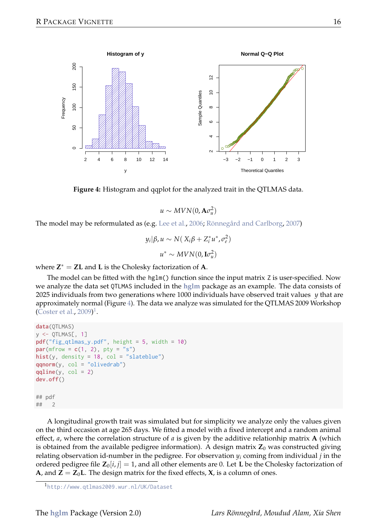



 $u \sim MVN(0, A\sigma_u^2)$ 

The model may be reformulated as (e.g. Lee et al., 2006; Rönnegård and Carlborg, 2007)

$$
y_i | \beta, u \sim N(X_i \beta + Z_i^* u^*, \sigma_e^2)
$$
  

$$
u^* \sim MVN(0, \mathbf{I}\sigma_u^2)
$$

where  $Z^* = ZL$  and  $L$  is the Cholesky factorization of  $A$ .

The model can be fitted with the hglm() function since the input matrix Z is user-specified. Now we analyze the data set QTLMAS included in the **hglm** package as an example. The data consists of 2025 individuals from two generations where 1000 individuals have observed trait values *y* that are approximately normal (Figure 4). The data we analyze was simulated for the QTLMAS 2009 Workshop (Coster et al., 2009)<sup>1</sup>.

```
data(QTLMAS)
y <- QTLMAS[, 1]
pdf("fig_qtlmas_y.pdf", height = 5, width = 10)
par(mfrow = c(1, 2), pty = "s")hist(y, density = 18, col = "slateblue")
qqnorm(y, col = "olivedrab")
q\text{aline}(v, col = 2)dev.off()
## pdf
## 2
```
A longitudinal growth trait was simulated but for simplicity we analyze only the values given on the third occasion at age 265 days. We fitted a model with a fixed intercept and a random animal effect, *a*, where the correlation structure of *a* is given by the additive relationhip matrix **A** (which is obtained from the available pedigree information). A design matrix  $\mathbf{Z}_0$  was constructed giving relating observation id-number in the pedigree. For observation  $y_i$  coming from individual  $j$  in the ordered pedigree file  $\mathbf{Z}_0[i, j] = 1$ , and all other elements are 0. Let **L** be the Cholesky factorization of **A**, and  $Z = Z_0L$ . The design matrix for the fixed effects,  $X_i$ , is a column of ones.

<sup>1</sup>http://www.qtlmas2009.wur.nl/UK/Dataset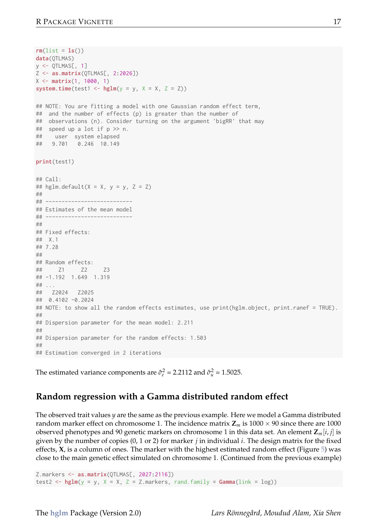```
rm(list = ls())data(OTLMAS)
v <- OTI MASE, 1
Z <- as.matrix(QTLMAS[, 2:2026])
X \leq - matrix(1, 1000, 1)
system.time(test1 <- hglm(y = y, X = X, Z = Z))
## NOTE: You are fitting a model with one Gaussian random effect term,
## and the number of effects (p) is greater than the number of
## observations (n). Consider turning on the argument 'bigRR' that may
## speed up a lot if p >> n.
## user system elapsed
## 9.701 0.246 10.149
print(test1)
## Call:
## hglm.default(X = X, y = y, Z = Z)
##
## ---------------------------
## Estimates of the mean model
## ---------------------------
##
## Fixed effects:
## X.1
## 7.28
##
\# Random effects:<br>\# \frac{71}{72}71 72 73
## -1.192 1.649 1.319
## ...
## Z2024 Z2025
## 0.4102 -0.2024
## NOTE: to show all the random effects estimates, use print(hglm.object, print.ranef = TRUE).
##
## Dispersion parameter for the mean model: 2.211
##
## Dispersion parameter for the random effects: 1.503
##
## Estimation converged in 2 iterations
```
The estimated variance components are  $\hat{\sigma}_{e}^{2} = 2.2112$  and  $\hat{\sigma}_{u}^{2} = 1.5025$ .

#### **Random regression with a Gamma distributed random effect**

The observed trait values *y* are the same as the previous example. Here we model a Gamma distributed random marker effect on chromosome 1. The incidence matrix  $\mathbb{Z}_m$  is 1000  $\times$  90 since there are 1000 observed phenotypes and 90 genetic markers on chromosome 1 in this data set. An element **Z***m*[*i*, *j*] is given by the number of copies (0, 1 or 2) for marker *j* in individual *i*. The design matrix for the fixed effects, **X**, is a column of ones. The marker with the highest estimated random effect (Figure 5) was close to the main genetic effect simulated on chromosome 1. (Continued from the previous example)

Z.markers <- as.matrix(QTLMAS[, 2027:2116]) test2 <-  $hglm(y = y, X = X, Z = Z.\text{markers}, rand.family = Gamma(link = log))$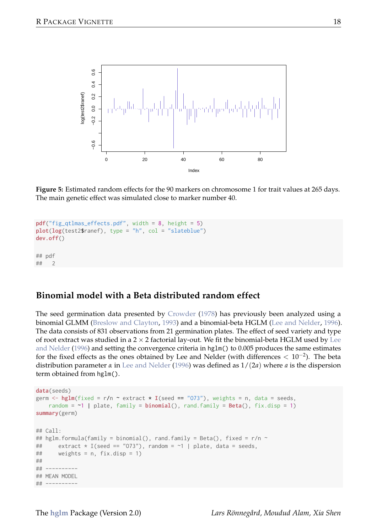

**Figure 5:** Estimated random effects for the 90 markers on chromosome 1 for trait values at 265 days. The main genetic effect was simulated close to marker number 40.

```
pdf("fig_qtlmas_effects.pdf", width = 8, height = 5)
plot(log(test2$ranef), type = "h", col = "slateblue")
dev.off()
## pdf
## 2
```
# **Binomial model with a Beta distributed random effect**

The seed germination data presented by Crowder (1978) has previously been analyzed using a binomial GLMM (Breslow and Clayton, 1993) and a binomial-beta HGLM (Lee and Nelder, 1996). The data consists of 831 observations from 21 germination plates. The effect of seed variety and type of root extract was studied in a  $2 \times 2$  factorial lay-out. We fit the binomial-beta HGLM used by Lee and Nelder (1996) and setting the convergence criteria in hglm() to 0.005 produces the same estimates for the fixed effects as the ones obtained by Lee and Nelder (with differences < 10−<sup>2</sup> ). The beta distribution parameter  $\alpha$  in Lee and Nelder (1996) was defined as  $1/(2a)$  where  $a$  is the dispersion term obtained from hglm().

```
data(seeds)
germ \leq hglm(fixed = r/n \approx extract \star I(seed == "073"), weights = n, data = seeds,
    random = \sim1 | plate, family = binomial(), rand.family = Beta(), fix.disp = 1)
summary(germ)
## Call:
## hglm.formula(family = binomial(), rand.family = Beta(), fixed = r/n ~<br>## extract * I(seed == "073"), random = ~1 | plate, data = seeds
## extract * I(seed == "073"), random = ~1 | plate, data = seeds,<br>## weights = p fix disp = 1)
         weights = n, fix.disp = 1)##
## ----------
## MEAN MODEL
## ----------
```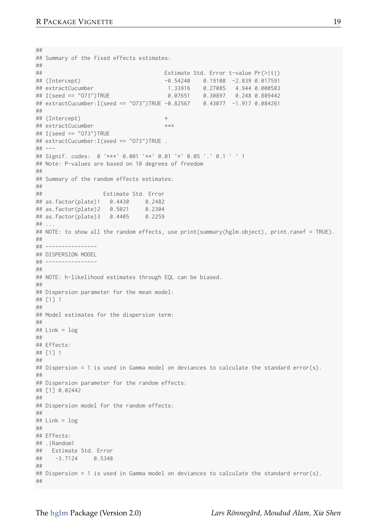```
##
## Summary of the fixed effects estimates:
\begin{array}{c} \# \# \\ \# \# \end{array}## Estimate Std. Error t-value Pr(>|t|)
## (Intercept) -0.54240 0.19108 -2.839 0.017591
## extractCucumber 1.33916 0.27085 4.944 0.000583
                                                0.30897 0.248 0.809442
## extractCucumber:I(seed == "O73")TRUE -0.82567 0.43077 -1.917 0.084261
##
## (Intercept) *
## extractCucumber ***
## I(seed == "O73")TRUE
## extractCucumber:I(seed == "O73")TRUE .
## ---
## Signif. codes: 0 '***' 0.001 '**' 0.01 '*' 0.05 '.' 0.1 ' ' 1
## Note: P-values are based on 10 degrees of freedom
##
## Summary of the random effects estimates:
##
                   Estimate Std. Error
## as.factor(plate)1 0.4430 0.2482
## as.factor(plate)2 0.5021 0.2304
# as. factor(plate)3 0.4405## ...
## NOTE: to show all the random effects, use print(summary(hglm.object), print.ranef = TRUE).
##
## ----------------
## DISPERSION MODEL
## ----------------
##
## NOTE: h-likelihood estimates through EQL can be biased.
##
## Dispersion parameter for the mean model:
## [1] 1
##
## Model estimates for the dispersion term:
##
## Link = log
##
## Effects:
## [1] 1
##
## Dispersion = 1 is used in Gamma model on deviances to calculate the standard error(s).
##
## Dispersion parameter for the random effects:
## [1] 0.02442
##
## Dispersion model for the random effects:
##
# Link = log##
## Effects:
## .|Random1
## Estimate Std. Error
## -3.7124 0.5348
##
## Dispersion = 1 is used in Gamma model on deviances to calculate the standard error(s).
##
```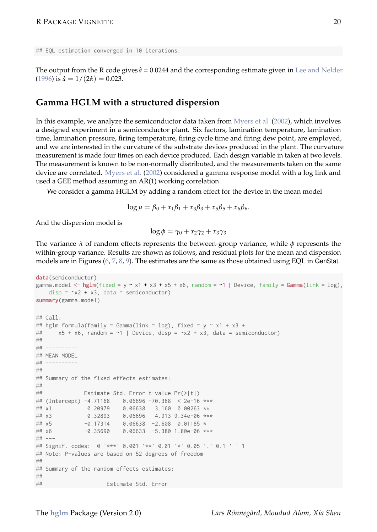## EQL estimation converged in 10 iterations.

The output from the R code gives  $\hat{a}$  = 0.0244 and the corresponding estimate given in Lee and Nelder  $(1996)$  is  $\hat{a} = 1/(2\hat{a}) = 0.023$ .

### **Gamma HGLM with a structured dispersion**

In this example, we analyze the semiconductor data taken from Myers et al. (2002), which involves a designed experiment in a semiconductor plant. Six factors, lamination temperature, lamination time, lamination pressure, firing temperature, firing cycle time and firing dew point, are employed, and we are interested in the curvature of the substrate devices produced in the plant. The curvature measurement is made four times on each device produced. Each design variable in taken at two levels. The measurement is known to be non-normally distributed, and the measurements taken on the same device are correlated. Myers et al. (2002) considered a gamma response model with a log link and used a GEE method assuming an AR(1) working correlation.

We consider a gamma HGLM by adding a random effect for the device in the mean model

$$
\log \mu = \beta_0 + x_1 \beta_1 + x_3 \beta_3 + x_5 \beta_5 + x_6 \beta_6.
$$

And the dispersion model is

$$
\log \phi = \gamma_0 + x_2 \gamma_2 + x_3 \gamma_3
$$

The variance *λ* of random effects represents the between-group variance, while *φ* represents the within-group variance. Results are shown as follows, and residual plots for the mean and dispersion models are in Figures (6, 7, 8, 9). The estimates are the same as those obtained using EQL in GenStat.

```
data(semiconductor)
gamma.model <- hglm(fixed = y \approx x1 + x3 + x5 + x6, random = ~1 | Device, family = Gamma(link = log),
  disp = -x2 + x3, data = semiconductor)
summary(gamma.model)
## Call:
## hglm.formula(family = Gamma(link = log), fixed = y \sim x1 + x3 +## x5 + x6, random = ~1 | Device, disp = x2 + x3, data = semiconductor)
##
## ----------
## MEAN MODEL
## ----------
##
## Summary of the fixed effects estimates:
##
## Estimate Std. Error t-value Pr(>|t|)
## (Intercept) -4.71168 0.06696 -70.368 < 2e-16 ***
                        0.06638 3.160 0.00263 **
## x3 0.32893 0.06696 4.913 9.34e-06 ***
            -0.17314 0.06638 -2.608 0.01185 \star## x6 -0.35690 0.06633 -5.380 1.80e-06 ***
## ---
## Signif. codes: 0 '***' 0.001 '**' 0.01 '*' 0.05 '.' 0.1 ' ' 1
## Note: P-values are based on 52 degrees of freedom
##
## Summary of the random effects estimates:
##
## Estimate Std. Error
```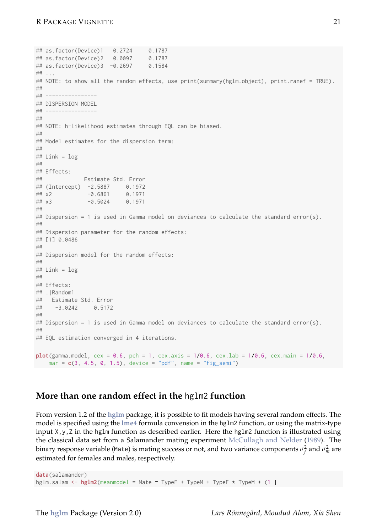```
## as.factor(Device)1 0.2724 0.1787
## as.factor(Device)2 0.0097 0.1787
## as.factor(Device)3 -0.2697## ...
## NOTE: to show all the random effects, use print(summary(hglm.object), print.ranef = TRUE).
##
## ----------------
## DISPERSION MODEL
## ----------------
##
## NOTE: h-likelihood estimates through EQL can be biased.
##
## Model estimates for the dispersion term:
##
## Link = log
##
## Effects:
## Estimate Std. Error
## (Intercept) -2.5887 0.1972
## x2 -0.6861 0.1971
## x3 -0.5024 0.1971
##
## Dispersion = 1 is used in Gamma model on deviances to calculate the standard error(s).
##
## Dispersion parameter for the random effects:
## [1] 0.0486
##
## Dispersion model for the random effects:
##
# Link = log##
## Effects:
## .|Random1
## Estimate Std. Error<br>## -3 0242 0 5172
    -3.0242 0.5172
##
## Dispersion = 1 is used in Gamma model on deviances to calculate the standard error(s).
##
## EQL estimation converged in 4 iterations.
plot(gamma.model, cex = 0.6, pch = 1, cex.axis = 1/0.6, cex.lab = 1/0.6, cex.main = 1/0.6,
mar = c(3, 4.5, 0, 1.5), device = "pdf", name = "fig_semi")
```
#### **More than one random effect in the** hglm2 **function**

From version 1.2 of the **hglm** package, it is possible to fit models having several random effects. The model is specified using the **lme4** formula convension in the hglm2 function, or using the matrix-type input  $X, y, Z$  in the hglm function as described earlier. Here the hglm2 function is illustrated using the classical data set from a Salamander mating experiment McCullagh and Nelder (1989). The binary response variable (Mate) is mating success or not, and two variance components  $\sigma_f^2$  and  $\sigma_m^2$  are estimated for females and males, respectively.

data(salamander) hglm.salam <- hglm2(meanmodel = Mate ~ TypeF + TypeM + TypeF \* TypeM + (1 |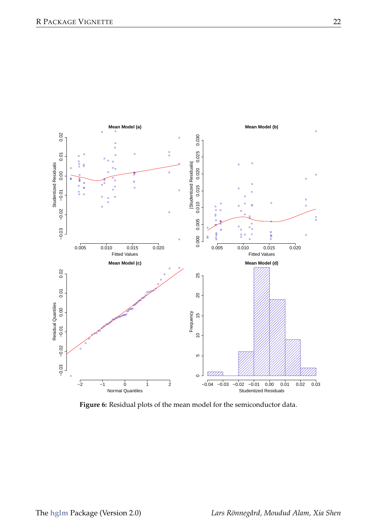

**Figure 6:** Residual plots of the mean model for the semiconductor data.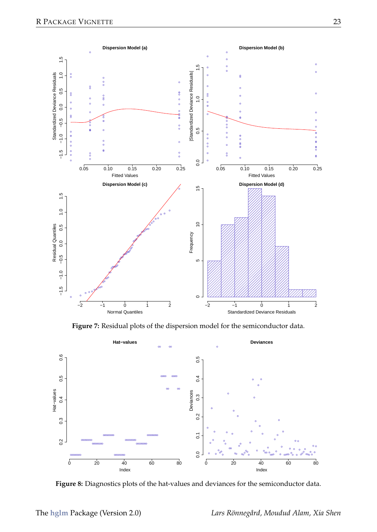

**Figure 7:** Residual plots of the dispersion model for the semiconductor data.



**Figure 8:** Diagnostics plots of the hat-values and deviances for the semiconductor data.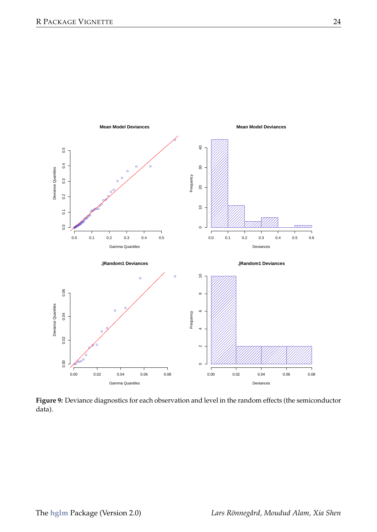

**Figure 9:** Deviance diagnostics for each observation and level in the random effects (the semiconductor data).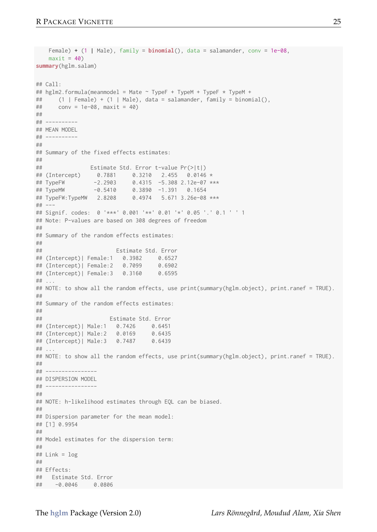```
Female) + (1 | Male), family = binomial(), data = salamander, conv = 1e-08,
   maxit = 40summary(hglm.salam)
## Call:
## hglm2.formula(meanmodel = Mate ~ TypeF + TypeM + TypeF * TypeM +
## (1 | Female) + (1 | Male), data = salamander, family = binomial(),<br>## conv = 1a=08 maxit = 40)
     conv = 1e-08, maxit = 40)
##
## ----------
## MEAN MODEL
## ----------
##
## Summary of the fixed effects estimates:
##<br>##
                Estimate Std. Error t-value Pr(>|t|)
## (Intercept) 0.7881 0.3210 2.455 0.0146 *
## TypeFW -2.2903 0.4315 -5.308 2.12e-07 ***
## TypeMW -0.5410 0.3890 -1.391 0.1654
## TypeFW:TypeMW 2.8208 0.4974 5.671 3.26e-08 ***
## ---
## Signif. codes: 0 '***' 0.001 '**' 0.01 '*' 0.05 '.' 0.1 ' ' 1
## Note: P-values are based on 308 degrees of freedom
##
## Summary of the random effects estimates:
##<br>##
                       Estimate Std. Error
## (Intercept)| Female:1 0.3982 0.6527
## (Intercept)| Female:2 0.7099 0.6902
## (Intercept)| Female:3 0.3160 0.6595
## ...
## NOTE: to show all the random effects, use print(summary(hglm.object), print.ranef = TRUE).
##
## Summary of the random effects estimates:
##
## Estimate Std. Error
## (Intercept)| Male:1 0.7426 0.6451
## (Intercept)| Male:2 0.0169 0.6435
## (Intercept)| Male:3 0.7487 0.6439
## ...
## NOTE: to show all the random effects, use print(summary(hglm.object), print.ranef = TRUE).
##
## ----------------
## DISPERSION MODEL
## ----------------
##
## NOTE: h-likelihood estimates through EQL can be biased.
##
## Dispersion parameter for the mean model:
## [1] 0.9954
##
## Model estimates for the dispersion term:
##
# Link = log##
## Effects:
## Estimate Std. Error
## -0.0046 0.0806
```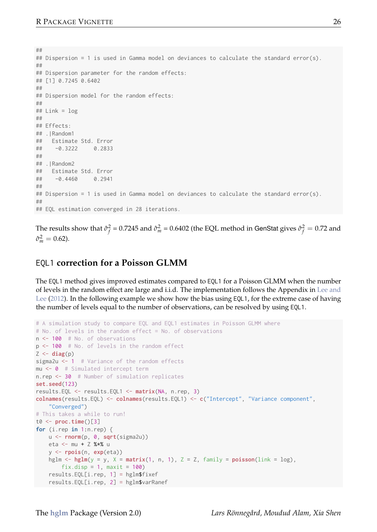## ## Dispersion = 1 is used in Gamma model on deviances to calculate the standard error(s). ## ## Dispersion parameter for the random effects: ## [1] 0.7245 0.6402 ## ## Dispersion model for the random effects: ## ## Link = log ## ## Effects: ## .|Random1 ## Estimate Std. Error  $-0.3222$  0.2833 ## ## . | Random2 ## Estimate Std. Error ## -0.4460 0.2941 ## ## Dispersion = 1 is used in Gamma model on deviances to calculate the standard error(s). ## ## EOL estimation converged in 28 iterations.

The results show that  $\hat{\sigma}_{f}^{2} = 0.7245$  and  $\hat{\sigma}_{m}^{2} = 0.6402$  (the EQL method in GenStat gives  $\hat{\sigma}_{f}^{2} = 0.72$  and  $\hat{\sigma}_{m}^{2} = 0.62$ ).

## EQL1 **correction for a Poisson GLMM**

The EQL1 method gives improved estimates compared to EQL1 for a Poisson GLMM when the number of levels in the random effect are large and i.i.d. The implementation follows the Appendix in Lee and Lee (2012). In the following example we show how the bias using EQL1, for the extreme case of having the number of levels equal to the number of observations, can be resolved by using EQL1.

```
# A simulation study to compare EQL and EQL1 estimates in Poisson GLMM where
# No. of levels in the random effect = No. of observations
n <- 100 # No. of observations
p <- 100 # No. of levels in the random effect
Z \leftarrow diag(p)sigma2u <- 1 # Variance of the random effects
mu <- 0 # Simulated intercept term
n.rep <- 30 # Number of simulation replicates
set.seed(123)
results.EQL <- results.EQL1 <- matrix(NA, n.rep, 3)
colname(results.F0l) \leq colname(results.F0l1) \leq cl"Intercent". "Variance component",
    "Converged")
# This takes a while to run!
t\theta \leq proc.time()[3]
for (i.rep in 1:n.rep) {
  u <- rnorm(p, 0, sqrt(sigma2u))
   eta <- mu + Z %*% u
   y <- rpois(n, exp(eta))
   hglm \leftarrow hglm(y = y, X = matrix(1, n, 1), Z = Z, family = poisson(link = log),
        fix.disp = 1, maxit = 100)
   results.EQL[i.rep, 1] = hglm$fixef
   results.EQL[i.rep, 2] = hglm$varRanef
```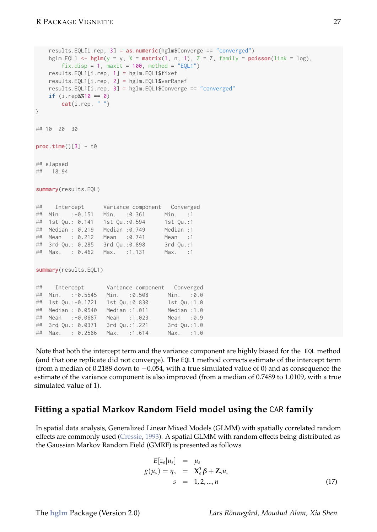```
results.EQL[i.rep, 3] = as.numeric(hglm$Converge == "converged")
   hglm.EQL1 <- hglm(y = y, X = matrix(1, n, 1), Z = Z, family = poisson(link = log),fix.disp = 1, maxit = 100, method = "EQL1")
   results.EQL1[i.rep, 1] = hglm.EQL1$fixef
   results.EQL1[i.rep, 2] = hglm.EQL1$varRanef
   results.EQL1[i.rep, 3] = hglm.EQL1$Converge == "converged"
   if (i.rep%%10 == 0)
      cat(i.rep, "")}
## 10 20 30
proc.time()[3] - t0## elapsed
## 18.94
summary(results.EQL)
## Intercept Variance component Converged
## Min. :-0.151 Min. :0.361 Min. :1
## 1st Qu.: 0.141 1st Qu.:0.594 1st Qu.:1
## Median : 0.219 Median :0.749 Median :1
## Mean : 0.212 Mean :0.741
## 3rd Qu.: 0.285 3rd Qu.:0.898 3rd Qu.:1
## Max. : 0.462 Max. :1.131
summary(results.EQL1)
## Intercept Variance component Converged
## Min. :-0.5545 Min. :0.508 Min. :0.0
## 1st Ou.:-0.1721  1st Ou.:0.830
## Median :-0.0540 Median :1.011 Median :1.0
## Mean :-0.0687 Mean :1.023 Mean :0.9
## 3rd Qu.: 0.0371 3rd Qu.:1.221 3rd Qu.:1.0
## Max. : 0.2586 Max. :1.614 Max. :1.0
```
Note that both the intercept term and the variance component are highly biased for the EQL method (and that one replicate did not converge). The EQL1 method corrects estimate of the intercept term (from a median of 0.2188 down to −0.054, with a true simulated value of 0) and as consequence the estimate of the variance component is also improved (from a median of 0.7489 to 1.0109, with a true simulated value of 1).

#### **Fitting a spatial Markov Random Field model using the** CAR **family**

In spatial data analysis, Generalized Linear Mixed Models (GLMM) with spatially correlated random effects are commonly used (Cressie, 1993). A spatial GLMM with random effects being distributed as the Gaussian Markov Random Field (GMRF) is presented as follows

$$
E[z_s|u_s] = \mu_s
$$
  
\n
$$
g(\mu_s) = \eta_s = \mathbf{X}_s^T \boldsymbol{\beta} + \mathbf{Z}_s u_s
$$
  
\n
$$
s = 1, 2, ..., n
$$
\n(17)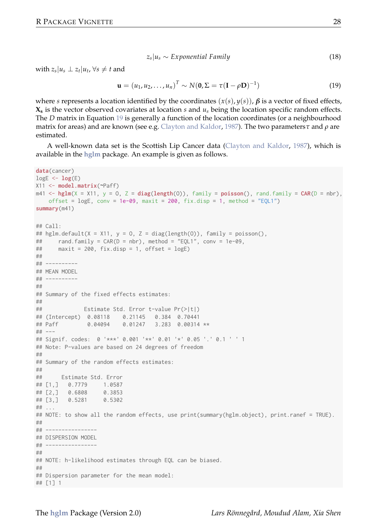$$
z_s|u_s \sim Exponential Family
$$
 (18)

with  $z_s|u_s \perp z_t|u_t, \forall s \neq t$  and

$$
\mathbf{u} = (u_1, u_2, \dots, u_n)^T \sim N(\mathbf{0}, \Sigma = \tau(\mathbf{I} - \rho \mathbf{D})^{-1})
$$
(19)

where *s* represents a location identified by the coordinates  $(x(s), y(s))$ ,  $β$  is a vector of fixed effects, **X<sup>s</sup>** is the vector observed covariates at location *s* and *u<sup>s</sup>* being the location specific random effects. The *D* matrix in Equation 19 is generally a function of the location coordinates (or a neighbourhood matrix for areas) and are known (see e.g. Clayton and Kaldor, 1987). The two parameters*τ* and *ρ* are estimated.

A well-known data set is the Scottish Lip Cancer data (Clayton and Kaldor, 1987), which is available in the **hglm** package. An example is given as follows.

```
data(cancer)
\text{logE} \leftarrow \text{log}(E)X11 <- model.matrix(~Paff)
m41 \leftarrow \text{hglm}(X = X11, y = 0, Z = \text{diag}(\text{length}(0)), \text{ family} = \text{poisson}(), \text{ rand-family} = \text{CAR}(D = nbr),offset = logE, conv = 1e-09, maxit = 200, fix.disp = 1, method = "EQL1")
summary(m41)
## Call:
## hglm.default(X = X11, v = 0, Z = diag(length(O)), family = poisson(),
## rand.family = CAR(D = nbr), method = "EQL1", conv = 1e-09,
## maxit = 200, fix.disp = 1, offset = logE)
##
## ----------
## MEAN MODEL
## ----------
##
## Summary of the fixed effects estimates:
##
## Estimate Std. Error t-value Pr(>|t|)
## (Intercept) 0.08118 0.21145 0.384 0.70441
               0.04094 0.01247 3.283 0.00314 **
## ---
## Signif. codes: 0 '***' 0.001 '**' 0.01 '*' 0.05 '.' 0.1 ' ' 1
## Note: P-values are based on 24 degrees of freedom
##
## Summary of the random effects estimates:
\begin{array}{c} \# \# \\ \# \# \end{array}Estimate Std. Error
## [1,] 0.7779 1.0587
## [2,] 0.6808 0.3853
        0.5281## ...
## NOTE: to show all the random effects, use print(summary(hglm.object), print.ranef = TRUE).
##
## ----------------
## DISPERSION MODEL
## ----------------
##
## NOTE: h-likelihood estimates through EQL can be biased.
##
## Dispersion parameter for the mean model:
## [1] 1
```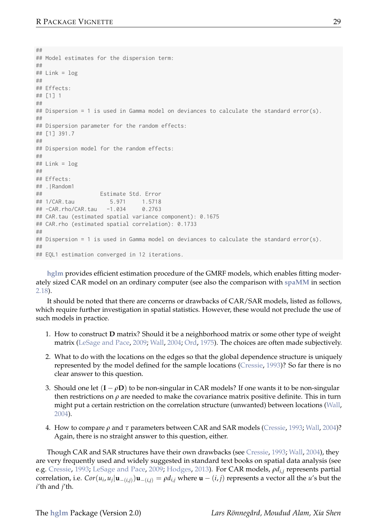```
##
## Model estimates for the dispersion term:
##
# Link = log##
## Effects:
## [1] 1
##
## Dispersion = 1 is used in Gamma model on deviances to calculate the standard error(s).
##
## Dispersion parameter for the random effects:
## [1] 391.7
##
## Dispersion model for the random effects:
##
## Link = log
##
## Fffects:
## .|Random1
                  Estimate Std. Error
## 1/CAR.tau 5.971 1.5718
## -CAR.rho/CAR.tau -1.034## CAR.tau (estimated spatial variance component): 0.1675
## CAR.rho (estimated spatial correlation): 0.1733
##
## Dispersion = 1 is used in Gamma model on deviances to calculate the standard error(s).
##
## EQL1 estimation converged in 12 iterations.
```
**hglm** provides efficient estimation procedure of the GMRF models, which enables fitting moderately sized CAR model on an ordinary computer (see also the comparison with **spaMM** in section 2.18).

It should be noted that there are concerns or drawbacks of CAR/SAR models, listed as follows, which require further investigation in spatial statistics. However, these would not preclude the use of such models in practice.

- 1. How to construct **D** matrix? Should it be a neighborhood matrix or some other type of weight matrix (LeSage and Pace, 2009; Wall, 2004; Ord, 1975). The choices are often made subjectively.
- 2. What to do with the locations on the edges so that the global dependence structure is uniquely represented by the model defined for the sample locations (Cressie, 1993)? So far there is no clear answer to this question.
- 3. Should one let  $(I \rho D)$  to be non-singular in CAR models? If one wants it to be non-singular then restrictions on *ρ* are needed to make the covariance matrix positive definite. This in turn might put a certain restriction on the correlation structure (unwanted) between locations (Wall, 2004).
- 4. How to compare *ρ* and *τ* parameters between CAR and SAR models (Cressie, 1993; Wall, 2004)? Again, there is no straight answer to this question, either.

Though CAR and SAR structures have their own drawbacks (see Cressie, 1993; Wall, 2004), they are very frequently used and widely suggested in standard text books on spatial data analysis (see e.g. Cressie, 1993; LeSage and Pace, 2009; Hodges, 2013). For CAR models, *ρdi*,*<sup>j</sup>* represents partial correlation, i.e.  $Cor(u_i, u_j | \mathbf{u}_{-(i,j)}) \mathbf{u}_{-(i,j)} = \rho d_{i,j}$  where  $\mathbf{u} - (i, j)$  represents a vector all the u's but the *i*'th and *j*'th.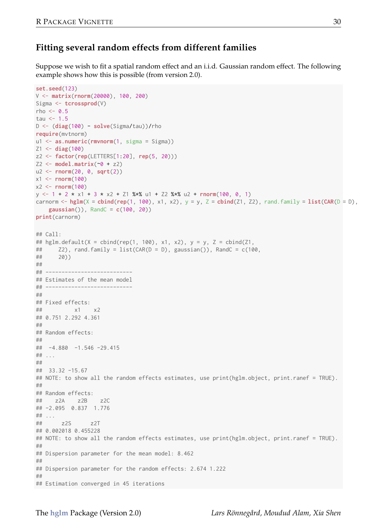## **Fitting several random effects from different families**

Suppose we wish to fit a spatial random effect and an i.i.d. Gaussian random effect. The following example shows how this is possible (from version 2.0).

```
set.seed(123)
V <- matrix(rnorm(20000), 100, 200)
Sigma <- tcrossprod(V)
rho \leq -0.5tau \leq 1.5
D <- (diag(100) - solve(Sigma/tau))/rho
require(mvtnorm)
u1 <- as.numeric(rmvnorm(1, sigma = Sigma))
71 < - diag(100)
z2 <- factor(rep(LETTERS[1:20], rep(5, 20)))
Z2 \leftarrow \text{model.matrix}(\sim 0 + z2)u2 \leq -rnorm(20, 0, sqrt(2))x1 \leftarrow \text{norm}(100)x2 \le rnorm(100)
y \le -1 + 2 \times x1 + 3 \times x2 + 21 %*% u1 + Z2 %*% u2 + rnorm(100, 0, 1)
carnorm \leq - hglm(X = cbind(rep(1, 100), x1, x2), y = y, Z = cbind(Z1, Z2), rand.family = list(CAR(D = D),
    gaussian()), RandC = c(100, 20))
print(carnorm)
## Call:
## hglm.default(X = cbind(rep(1, 100), x1, x2), y = y, Z = cbind(Z1,
## Z2), rand.family = list(CAR(D = D), gaussian()), RandC = c(100,
## 20))
##
## ---------------------------
## Estimates of the mean model
## ---------------------------
##
## Fixed effects:
## x1 x2
## 0.751 2.292 4.361
##
## Random effects:
##
## -4.880 -1.546 -29.415
## ...
##
## 33.32 -15.67
## NOTE: to show all the random effects estimates, use print(hglm.object, print.ranef = TRUE).
##
## Random effects:
## z2A z2B z2C
## -2.095 0.837 1.776
## ...
## z2S z2T
## 0.002018 0.455228
## NOTE: to show all the random effects estimates, use print(hglm.object, print.ranef = TRUE).
##
## Dispersion parameter for the mean model: 8.462
##
## Dispersion parameter for the random effects: 2.674 1.222
##
## Estimation converged in 45 iterations
```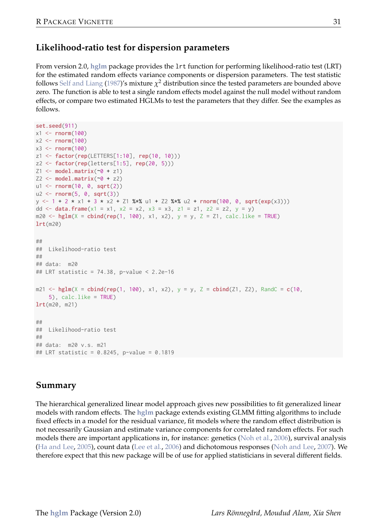# **Likelihood-ratio test for dispersion parameters**

From version 2.0, **hglm** package provides the lrt function for performing likelihood-ratio test (LRT) for the estimated random effects variance components or dispersion parameters. The test statistic follows Self and Liang (1987)'s mixture  $\chi^2$  distribution since the tested parameters are bounded above zero. The function is able to test a single random effects model against the null model without random effects, or compare two estimated HGLMs to test the parameters that they differ. See the examples as follows.

```
set.seed(911)
x1 \leftarrow \text{norm}(100)x^2 \leftarrow \text{norm}(100)x3 \leftarrow \text{norm}(100)z1 <- factor(rep(LETTERS[1:10], rep(10, 10)))
z2 <- factor(rep(letters[1:5], rep(20, 5)))
Z1 \leq model_matrix(~0 + z1)
72 \leq model.matrix(~0 + 72)
u1 <- rnorm(10, 0, sqrt(2))
u2 \leftarrow \text{norm}(5, 0, \text{sqrt}(3))y \le -1 + 2 + x1 + 3 + x2 + 21 %*% u1 + Z2 %*% u2 + rnorm(100, 0, sqrt(exp(x3)))
dd \le data.frame(x1 = x1, x2 = x2, x3 = x3, z1 = z1, z2 = z2, y = y)
m20 \leq - hglm(X = cbind(rep(1, 100), x1, x2), y = y, Z = Z1, calc.like = TRUE)
lrt(m20)
##
## Likelihood-ratio test
##
## data: m20
## LRT statistic = 74.38, p-value < 2.2e-16
m21 \leq - hglm(X = cbind(rep(1, 100), x1, x2), y = y, Z = cbind(Z1, Z2), RandC = c(10,
    5), calc.like = TRUE)
lrt(m20, m21)
##
## Likelihood-ratio test
##
## data: m20 v.s. m21
## LRT statistic = 0.8245, p-value = 0.1819
```
## **Summary**

The hierarchical generalized linear model approach gives new possibilities to fit generalized linear models with random effects. The **hglm** package extends existing GLMM fitting algorithms to include fixed effects in a model for the residual variance, fit models where the random effect distribution is not necessarily Gaussian and estimate variance components for correlated random effects. For such models there are important applications in, for instance: genetics (Noh et al., 2006), survival analysis (Ha and Lee, 2005), count data (Lee et al., 2006) and dichotomous responses (Noh and Lee, 2007). We therefore expect that this new package will be of use for applied statisticians in several different fields.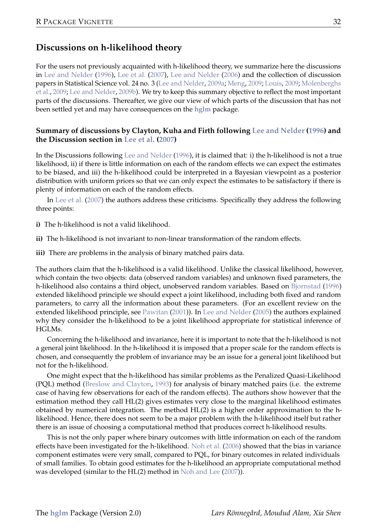## **Discussions on h-likelihood theory**

For the users not previously acquainted with h-likelihood theory, we summarize here the discussions in Lee and Nelder (1996), Lee et al. (2007), Lee and Nelder (2006) and the collection of discussion papers in Statistical Science vol. 24 no. 3 (Lee and Nelder, 2009a; Meng, 2009; Louis, 2009; Molenberghs et al., 2009; Lee and Nelder, 2009b). We try to keep this summary objective to reflect the most important parts of the discussions. Thereafter, we give our view of which parts of the discussion that has not been settled yet and may have consequences on the **hglm** package.

#### **Summary of discussions by Clayton, Kuha and Firth following Lee and Nelder (1996) and the Discussion section in Lee et al. (2007)**

In the Discussions following Lee and Nelder (1996), it is claimed that: i) the h-likelihood is not a true likelihood, ii) if there is little information on each of the random effects we can expect the estimates to be biased, and iii) the h-likelihood could be interpreted in a Bayesian viewpoint as a posterior distribution with uniform priors so that we can only expect the estimates to be satisfactory if there is plenty of information on each of the random effects.

In Lee et al. (2007) the authors address these criticisms. Specifically they address the following three points:

- **i)** The h-likelihood is not a valid likelihood.
- **ii)** The h-likelihood is not invariant to non-linear transformation of the random effects.
- **iii)** There are problems in the analysis of binary matched pairs data.

The authors claim that the h-likelihood is a valid likelihood. Unlike the classical likelihood, however, which contain the two objects: data (observed random variables) and unknown fixed parameters, the h-likelihood also contains a third object, unobserved random variables. Based on Bjornstad (1996) extended likelihood principle we should expect a joint likelihood, including both fixed and random parameters, to carry all the information about these parameters. (For an excellent review on the extended likelihood principle, see Pawitan (2001)). In Lee and Nelder (2005) the authors explained why they consider the h-likelihood to be a joint likelihood appropriate for statistical inference of HGLMs.

Concerning the h-likelihood and invariance, here it is important to note that the h-likelihood is not a general joint likelihood. In the h-likelihood it is imposed that a proper scale for the random effects is chosen, and consequently the problem of invariance may be an issue for a general joint likelihood but not for the h-likelihood.

One might expect that the h-likelihood has similar problems as the Penalized Quasi-Likelihood (PQL) method (Breslow and Clayton, 1993) for analysis of binary matched pairs (i.e. the extreme case of having few observations for each of the random effects). The authors show however that the estimation method they call HL(2) gives estimates very close to the marginal likelihood estimates obtained by numerical integration. The method HL(2) is a higher order approximation to the hlikelihood. Hence, there does not seem to be a major problem with the h-likelihood itself but rather there is an issue of choosing a computational method that produces correct h-likelihood results.

This is not the only paper where binary outcomes with little information on each of the random effects have been investigated for the h-likelihood. Noh et al. (2006) showed that the bias in variance component estimates were very small, compared to PQL, for binary outcomes in related individuals of small families. To obtain good estimates for the h-likelihood an appropriate computational method was developed (similar to the HL(2) method in Noh and Lee (2007)).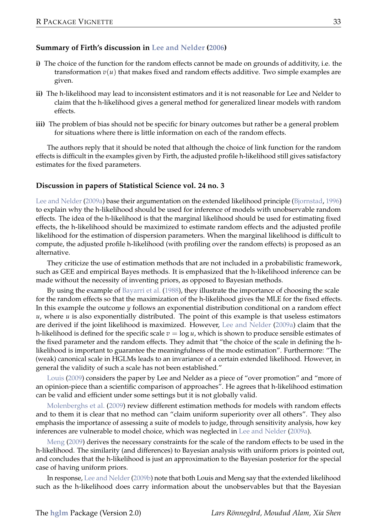#### **Summary of Firth's discussion in Lee and Nelder (2006)**

- **i)** The choice of the function for the random effects cannot be made on grounds of additivity, i.e. the transformation  $v(u)$  that makes fixed and random effects additive. Two simple examples are given.
- **ii)** The h-likelihood may lead to inconsistent estimators and it is not reasonable for Lee and Nelder to claim that the h-likelihood gives a general method for generalized linear models with random effects.
- **iii)** The problem of bias should not be specific for binary outcomes but rather be a general problem for situations where there is little information on each of the random effects.

The authors reply that it should be noted that although the choice of link function for the random effects is difficult in the examples given by Firth, the adjusted profile h-likelihood still gives satisfactory estimates for the fixed parameters.

#### **Discussion in papers of Statistical Science vol. 24 no. 3**

Lee and Nelder (2009a) base their argumentation on the extended likelihood principle (Bjornstad, 1996) to explain why the h-likelihood should be used for inference of models with unobservable random effects. The idea of the h-likelihood is that the marginal likelihood should be used for estimating fixed effects, the h-likelihood should be maximized to estimate random effects and the adjusted profile likelihood for the estimation of dispersion parameters. When the marginal likelihood is difficult to compute, the adjusted profile h-likelihood (with profiling over the random effects) is proposed as an alternative.

They criticize the use of estimation methods that are not included in a probabilistic framework, such as GEE and empirical Bayes methods. It is emphasized that the h-likelihood inference can be made without the necessity of inventing priors, as opposed to Bayesian methods.

By using the example of Bayarri et al. (1988), they illustrate the importance of choosing the scale for the random effects so that the maximization of the h-likelihood gives the MLE for the fixed effects. In this example the outcome *y* follows an exponential distribution conditional on a random effect  $u$ , where  $u$  is also exponentially distributed. The point of this example is that useless estimators are derived if the joint likelihood is maximized. However, Lee and Nelder (2009a) claim that the h-likelihood is defined for the specific scale *v* = log *u*, which is shown to produce sensible estimates of the fixed parameter and the random effects. They admit that "the choice of the scale in defining the hlikelihood is important to guarantee the meaningfulness of the mode estimation". Furthermore: "The (weak) canonical scale in HGLMs leads to an invariance of a certain extended likelihood. However, in general the validity of such a scale has not been established."

Louis (2009) considers the paper by Lee and Nelder as a piece of "over promotion" and "more of an opinion-piece than a scientific comparison of approaches". He agrees that h-likelihood estimation can be valid and efficient under some settings but it is not globally valid.

Molenberghs et al. (2009) review different estimation methods for models with random effects and to them it is clear that no method can "claim uniform superiority over all others". They also emphasis the importance of assessing a suite of models to judge, through sensitivity analysis, how key inferences are vulnerable to model choice, which was neglected in Lee and Nelder (2009a).

Meng (2009) derives the necessary constraints for the scale of the random effects to be used in the h-likelihood. The similarity (and differences) to Bayesian analysis with uniform priors is pointed out, and concludes that the h-likelihood is just an approximation to the Bayesian posterior for the special case of having uniform priors.

In response, Lee and Nelder (2009b) note that both Louis and Meng say that the extended likelihood such as the h-likelihood does carry information about the unobservables but that the Bayesian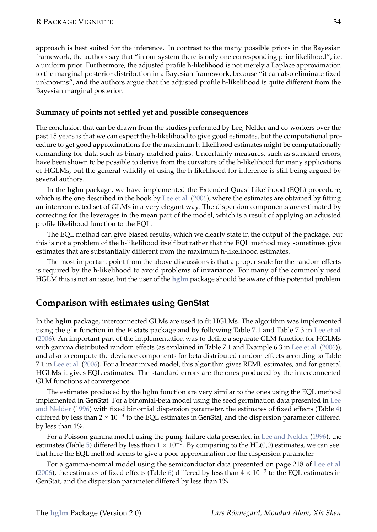approach is best suited for the inference. In contrast to the many possible priors in the Bayesian framework, the authors say that "in our system there is only one corresponding prior likelihood", i.e. a uniform prior. Furthermore, the adjusted profile h-likelihood is not merely a Laplace approximation to the marginal posterior distribution in a Bayesian framework, because "it can also eliminate fixed unknowns", and the authors argue that the adjusted profile h-likelihood is quite different from the Bayesian marginal posterior.

#### **Summary of points not settled yet and possible consequences**

The conclusion that can be drawn from the studies performed by Lee, Nelder and co-workers over the past 15 years is that we can expect the h-likelihood to give good estimates, but the computational procedure to get good approximations for the maximum h-likelihood estimates might be computationally demanding for data such as binary matched pairs. Uncertainty measures, such as standard errors, have been shown to be possible to derive from the curvature of the h-likelihood for many applications of HGLMs, but the general validity of using the h-likelihood for inference is still being argued by several authors.

In the **hglm** package, we have implemented the Extended Quasi-Likelihood (EQL) procedure, which is the one described in the book by Lee et al. (2006), where the estimates are obtained by fitting an interconnected set of GLMs in a very elegant way. The dispersion components are estimated by correcting for the leverages in the mean part of the model, which is a result of applying an adjusted profile likelihood function to the EQL.

The EQL method can give biased results, which we clearly state in the output of the package, but this is not a problem of the h-likelihood itself but rather that the EQL method may sometimes give estimates that are substantially different from the maximum h-likelihood estimates.

The most important point from the above discussions is that a proper scale for the random effects is required by the h-likelihood to avoid problems of invariance. For many of the commonly used HGLM this is not an issue, but the user of the **hglm** package should be aware of this potential problem.

#### **Comparison with estimates using GenStat**

In the **hglm** package, interconnected GLMs are used to fit HGLMs. The algorithm was implemented using the glm function in the R **stats** package and by following Table 7.1 and Table 7.3 in Lee et al. (2006). An important part of the implementation was to define a separate GLM function for HGLMs with gamma distributed random effects (as explained in Table 7.1 and Example 6.3 in Lee et al. (2006)), and also to compute the deviance components for beta distributed random effects according to Table 7.1 in Lee et al. (2006). For a linear mixed model, this algorithm gives REML estimates, and for general HGLMs it gives EQL estimates. The standard errors are the ones produced by the interconnected GLM functions at convergence.

The estimates produced by the hglm function are very similar to the ones using the EQL method implemented in GenStat. For a binomial-beta model using the seed germination data presented in Lee and Nelder (1996) with fixed binomial dispersion parameter, the estimates of fixed effects (Table 4) differed by less than 2 × 10−<sup>3</sup> to the EQL estimates in GenStat, and the dispersion parameter differed by less than 1%.

For a Poisson-gamma model using the pump failure data presented in Lee and Nelder (1996), the estimates (Table 5) differed by less than  $1 \times 10^{-3}$ . By comparing to the HL(0,0) estimates, we can see that here the EQL method seems to give a poor approximation for the dispersion parameter.

For a gamma-normal model using the semiconductor data presented on page 218 of Lee et al. (2006), the estimates of fixed effects (Table 6) differed by less than  $4 \times 10^{-3}$  to the EQL estimates in GenStat, and the dispersion parameter differed by less than 1%.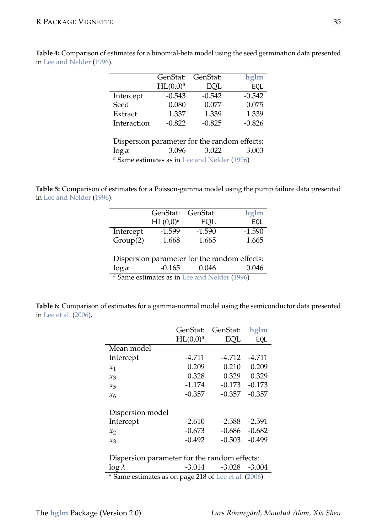|             | GenStat:    | GenStat: | hglm     |
|-------------|-------------|----------|----------|
|             | $HL(0,0)^a$ | EOL      | EOL      |
| Intercept   | $-0.543$    | $-0.542$ | $-0.542$ |
| Seed        | 0.080       | 0.077    | 0.075    |
| Extract     | 1.337       | 1.339    | 1.339    |
| Interaction | $-0.822$    | $-0.825$ | $-0.826$ |
|             |             |          |          |

**Table 4:** Comparison of estimates for a binomial-beta model using the seed germination data presented in Lee and Nelder (1996).

> Dispersion parameter for the random effects:<br> $\log \alpha$  3.096 3.022 3.003 log *α* 3.096 3.022 3.003 *<sup>a</sup>* Same estimates as in Lee and Nelder (1996)

**Table 5:** Comparison of estimates for a Poisson-gamma model using the pump failure data presented in Lee and Nelder (1996).

|           | GenStat:             | GenStat: | hglm     |
|-----------|----------------------|----------|----------|
|           | HL(0.0) <sup>a</sup> | EOL      | EOL      |
| Intercept | $-1.599$             | $-1.590$ | $-1.590$ |
| Group(2)  | 1.668                | 1.665    | 1.665    |
|           |                      |          |          |

|               | Dispersion parameter for the random effects:            |       |       |
|---------------|---------------------------------------------------------|-------|-------|
| $\log \alpha$ | -0.165                                                  | 0.046 | 0.046 |
|               | <sup>a</sup> Same estimates as in Lee and Nelder (1996) |       |       |

**Table 6:** Comparison of estimates for a gamma-normal model using the semiconductor data presented in Lee et al. (2006).

|                                                                                                                                                           | GenStat:    | GenStat: | hglm     |  |  |
|-----------------------------------------------------------------------------------------------------------------------------------------------------------|-------------|----------|----------|--|--|
|                                                                                                                                                           | $HL(0,0)^a$ | EOL      | EOL      |  |  |
| Mean model                                                                                                                                                |             |          |          |  |  |
| Intercept                                                                                                                                                 | $-4.711$    | $-4.712$ | $-4.711$ |  |  |
| $x_1$                                                                                                                                                     | 0.209       | 0.210    | 0.209    |  |  |
| $x_3$                                                                                                                                                     | 0.328       | 0.329    | 0.329    |  |  |
| $x_{5}$                                                                                                                                                   | $-1.174$    | $-0.173$ | $-0.173$ |  |  |
| x <sub>6</sub>                                                                                                                                            | $-0.357$    | $-0.357$ | $-0.357$ |  |  |
| Dispersion model                                                                                                                                          |             |          |          |  |  |
| Intercept                                                                                                                                                 | $-2.610$    | $-2.588$ | $-2.591$ |  |  |
| x <sub>2</sub>                                                                                                                                            | $-0.673$    | $-0.686$ | $-0.682$ |  |  |
| $x_3$                                                                                                                                                     | $-0.492$    | $-0.503$ | $-0.499$ |  |  |
| Dispersion parameter for the random effects:                                                                                                              |             |          |          |  |  |
| $\log \lambda$<br>$\mathcal{L} \cap \mathcal{L}$ and $\mathcal{L} \cap \mathcal{L}$ and $\mathcal{L} \cap \mathcal{L}$ and $\mathcal{L} \cap \mathcal{L}$ | $-3.014$    | $-3.028$ | $-3.004$ |  |  |

Same estimates as on page 218 of Lee et al. (2006)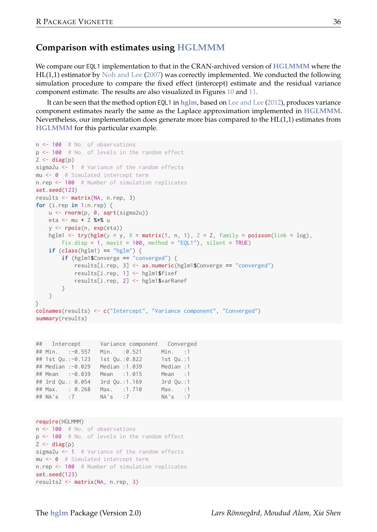#### **Comparison with estimates using HGLMMM**

We compare our EQL1 implementation to that in the CRAN-archived version of **HGLMMM** where the HL(1,1) estimator by Noh and Lee (2007) was correctly implemented. We conducted the following simulation procedure to compare the fixed effect (intercept) estimate and the residual variance component estimate. The results are also visualized in Figures 10 and 11.

It can be seen that the method option EQL1 in **hglm**, based on Lee and Lee (2012), produces variance component estimates nearly the same as the Laplace approximation implemented in **HGLMMM**. Nevertheless, our implementation does generate more bias compared to the HL(1,1) estimates from **HGLMMM** for this particular example.

```
n <- 100 # No. of observations
p <- 100 # No. of levels in the random effect
Z \leftarrow diag(p)sigma2u <- 1 # Variance of the random effects
mu <- 0 # Simulated intercept term
n.rep <- 100 # Number of simulation replicates
set.seed(123)
results <- matrix(NA, n.rep, 3)
for (i.rep in 1:n.rep) {
   u <- rnorm(p, 0, sqrt(sigma2u))
   eta <- mu + Z %*% u
   y <- rpois(n, exp(eta))
   hglm1 \leq try(hglm(y = y, X = matrix(1, n, 1), Z = Z, family = poisson(link = log),
        fix.disp = 1, maxit = 100, method = "EOL1"), silent = TRUEif (class(hglm1) == "helm") {
        if (hglm1$Converge == "converged") {
            results[i.rep, 3] <- as.numeric(hglm1$Converge == "converged")
            results[i.rep, 1] <- hglm1$fixef
           results[i.rep, 2] <- hglm1$varRanef
        }
    }
}
colnames(results) <- c("Intercept", "Variance component", "Converged")
summary(results)
```

```
## Intercept Variance component Converged
## Min. :-0.557 Min. :0.521 Min. :1
## 1st Qu.:-0.123 1st Qu.:0.822 1st Qu.:1
## Median :-0.029 Median :1.039 Median :1
## Mean :-0.039 Mean :1.015 Mean :1
## 3rd Qu.: 0.054 3rd Qu.:1.169 3rd Qu.:1
## Max. : 0.268 Max. :1.710 Max. :1
## NA's :7 NA's :7 NA's :7
```

```
require(HGLMMM)
n <- 100 # No. of observations
p <- 100 # No. of levels in the random effect
Z \leftarrow diag(p)sigma2u <- 1 # Variance of the random effects
mu <- 0 # Simulated intercept term
n.rep <- 100 # Number of simulation replicates
set.seed(123)
results2 <- matrix(NA, n.rep, 3)
```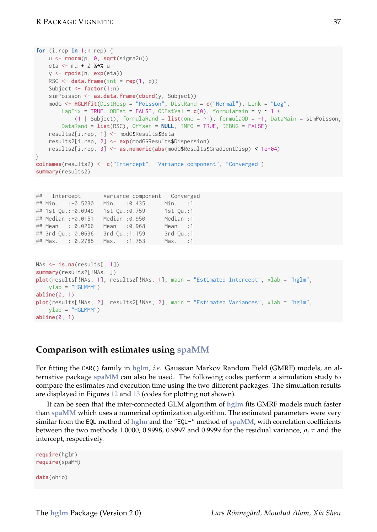```
for (i.rep in 1:n.rep) {
   u <- rnorm(p, 0, sqrt(sigma2u))
   eta <- mu + Z %*% u
    y <- rpois(n, exp(eta))
    RSC \leftarrow data-frame(int = rep(1, p))Subject <- factor(1:n)
   simPoisson <- as.data.frame(cbind(y, Subject))
   modG <- HGLMfit(DistResp = "Poisson", DistRand = c("Normal"), Link = "Log",
        LapFix = TRUE, ODEst = FALSE, ODEstVal = c(0), formulaMain = y ~ 1 +
            (1 | Subject), formulaRand = list(one = ~1), formulaOD = ~1, DataMain = simPoisson,
        DataRand = list(RSC), Offset = NULL, INFO = TRUE, DEBUG = FALSE)
    results2[i.rep, 1] <- modG$Results$Beta
    results2[i.rep, 2] <- exp(modG$Results$Dispersion)
    results2[i.rep, 3] <- as.numeric(abs(modG$Results$GradientDisp) < 1e-04)
}
colnames(results2) <- c("Intercept", "Variance component", "Converged")
summary(results2)
```

```
## Intercept Variance component Converged
## Min. :-0.5230 Min. :0.435 Min. :1
## 1st Qu.:-0.0949 1st Qu.:0.759 1st Qu.:1
## Median :-0.0151 Median :0.950 Median :1
## Mean :-0.0266 Mean :0.968 Mean :1
## 3rd Ou.: 0.0636
## Max. : 0.2785 Max. :1.753 Max. :1
```

```
NAs <- is.na(results[, 1])
summary(results2[!NAs, ])
plot(results[!NAs, 1], results2[!NAs, 1], main = "Estimated Intercept", xlab = "hglm",
    ylab = "HGLMMM")
abline(0, 1)
plot(results[!NAs, 2], results2[!NAs, 2], main = "Estimated Variances", xlab = "hglm",
   vlab = "HGLMM"abline(0, 1)
```
### **Comparison with estimates using spaMM**

For fitting the CAR() family in **hglm**, *i.e.* Gaussian Markov Random Field (GMRF) models, an alternative package **spaMM** can also be used. The following codes perform a simulation study to compare the estimates and execution time using the two different packages. The simulation results are displayed in Figures 12 and 13 (codes for plotting not shown).

It can be seen that the inter-connected GLM algorithm of **hglm** fits GMRF models much faster than **spaMM** which uses a numerical optimization algorithm. The estimated parameters were very similar from the EQL method of **hglm** and the "EQL-" method of **spaMM**, with correlation coefficients between the two methods 1.0000, 0.9998, 0.9997 and 0.9999 for the residual variance, *ρ*, *τ* and the intercept, respectively.

```
require(hglm)
require(spaMM)
data(ohio)
```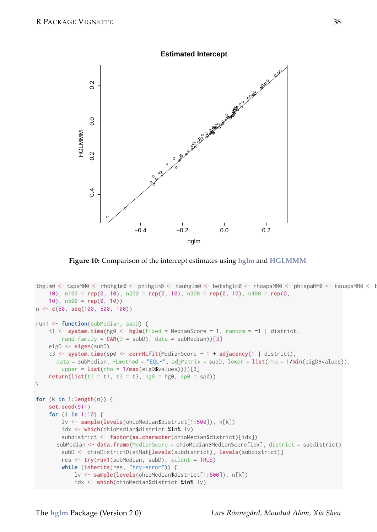



**Figure 10:** Comparison of the intercept estimates using **hglm** and **HGLMMM**.

```
thglm0 <- tspaMM0 <- rhohglm0 <- phihglm0 <- tauhglm0 <- betahglm0 <- rhospaMM0 <- phispaMM0 <- tauspaMM0 <- rhospaMM0 <- rhospaMM0 <- tauspaMM0 <- rhospaMM0 <- rhospaMM0 <- rhospaMM0 <- rhospaMM0 <- rhospaMM0 <- rhospaMM0
    10), n100 = rep(0, 10), n200 = rep(0, 10), n300 = rep(0, 10), n400 = rep(0,
    10), n500 = rep(0, 10))
n <- c(50, seq(100, 500, 100))
run1 <- function(subMedian, subD) {
    t1 <- system.time(hg0 <- hglm(fixed = MedianScore ~ 1, random = ~1 | district,
        rand.family = CAR(D = subD), data = subMedian))[3]
    eigD <- eigen(subD)
    t3 <- system.time(sp0 <- corrHLfit(MedianScore ~ 1 + adjacency(1 | district),
       data = subMedian, HLmethod = "EQL-", adjMatrix = subD, lower = list(rho = 1/min(eigD$values)),
        upper = list(rho = 1/max(eigD$values))))[3]
    return(list(t1 = t1, t3 = t3, hg0 = hg0, sp0 = sp0))}
for (k in 1:length(n)) {
    set.seed(911)
    for (i in 1:10) {
         lv <- sample(levels(ohioMedian$district[1:500]), n[k])
         idx <- which(ohioMedian$district %in% lv)
         subdistrict <- factor(as.character(ohioMedian$district)[idx])
       subMedian <- data.frame(MedianScore = ohioMedian$MedianScore[idx], district = subdistrict)
        subD <- ohioDistrictDistMat[levels(subdistrict), levels(subdistrict)]
        res <- try(run1(subMedian, subD), silent = TRUE)
         while (inherits(res, "try-error")) {
             lv <- sample(levels(ohioMedian$district[1:500]), n[k])
             idx <- which(ohioMedian$district %in% lv)
```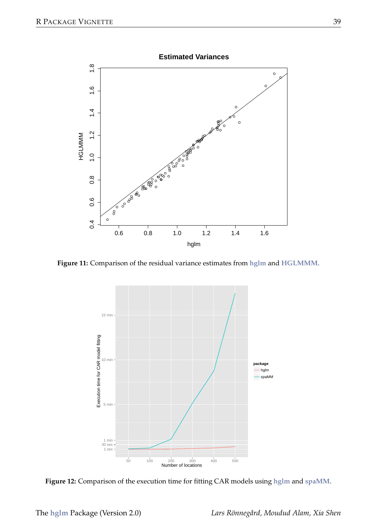

**Figure 11:** Comparison of the residual variance estimates from **hglm** and **HGLMMM**.



**Figure 12:** Comparison of the execution time for fitting CAR models using **hglm** and **spaMM**.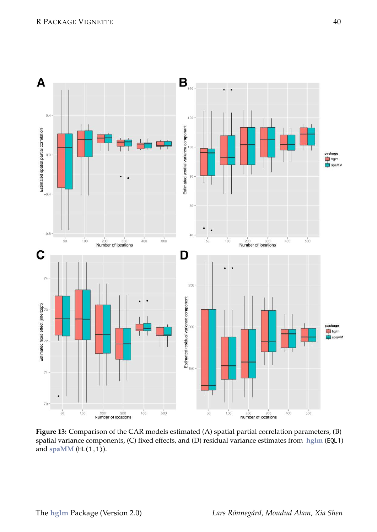

**Figure 13:** Comparison of the CAR models estimated (A) spatial partial correlation parameters, (B) spatial variance components, (C) fixed effects, and (D) residual variance estimates from **hglm** (EQL1) and **spaMM** (HL(1,1)).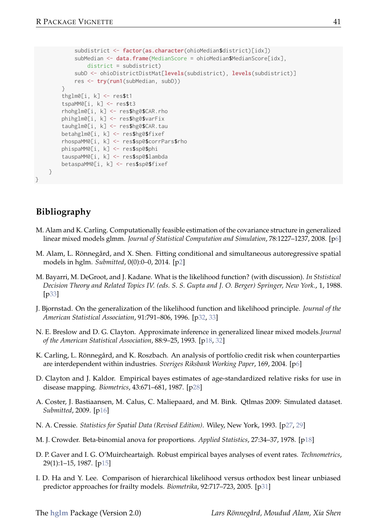```
subdistrict <- factor(as.character(ohioMedian$district)[idx])
           subMedian <- data.frame(MedianScore = ohioMedian$MedianScore[idx].
               distance = subdistinctsubD <- ohioDistrictDistMat[levels(subdistrict), levels(subdistrict)]
           res <- try(run1(subMedian, subD))
        \lambdathglm0[i, k] <- res$t1
        tspaMM0[i, k] <- res$t3
        rhohglm0[i, k] <- res$hg0$CAR.rho
        phihglm0[i, k] <- res$hg0$varFix
        tauhglm0[i, k] <- res$hg0$CAR.tau
        betahglm0[i, k] <- res$hg0$fixef
        rhospaMM0[i, k] <- res$sp0$corrPars$rho
        phispaMM0[i, k] <- res$sp0$phi
        tauspaMM0[i, k] <- res$sp0$lambda
       betaspaMM0[i, k] <- res$sp0$fixef
   }
}
```
## **Bibliography**

- M. Alam and K. Carling. Computationally feasible estimation of the covariance structure in generalized linear mixed models glmm. *Journal of Statistical Computation and Simulation*, 78:1227–1237, 2008. [p6]
- M. Alam, L. Rönnegård, and X. Shen. Fitting conditional and simultaneous autoregressive spatial models in hglm. *Submitted*, 0(0):0–0, 2014. [p2]
- M. Bayarri, M. DeGroot, and J. Kadane. What is the likelihood function? (with discussion). *In Ststistical Decision Theory and Related Topics IV. (eds. S. S. Gupta and J. O. Berger) Springer, New York.*, 1, 1988. [p33]
- J. Bjornstad. On the generalization of the likelihood function and likelihood principle. *Journal of the American Statistical Association*, 91:791–806, 1996. [p32, 33]
- N. E. Breslow and D. G. Clayton. Approximate inference in generalized linear mixed models.*Journal of the American Statistical Association*, 88:9–25, 1993. [p18, 32]
- K. Carling, L. Rönnegård, and K. Roszbach. An analysis of portfolio credit risk when counterparties are interdependent within industries. *Sveriges Riksbank Working Paper*, 169, 2004. [p6]
- D. Clayton and J. Kaldor. Empirical bayes estimates of age-standardized relative risks for use in disease mapping. *Biometrics*, 43:671–681, 1987. [p28]
- A. Coster, J. Bastiaansen, M. Calus, C. Maliepaard, and M. Bink. Qtlmas 2009: Simulated dataset. *Submitted*, 2009. [p16]
- N. A. Cressie. *Statistics for Spatial Data (Revised Edition)*. Wiley, New York, 1993. [p27, 29]
- M. J. Crowder. Beta-binomial anova for proportions. *Applied Statistics*, 27:34–37, 1978. [p18]
- D. P. Gaver and I. G. O'Muircheartaigh. Robust empirical bayes analyses of event rates. *Technometrics*, 29(1):1–15, 1987. [p15]
- I. D. Ha and Y. Lee. Comparison of hierarchical likelihood versus orthodox best linear unbiased predictor approaches for frailty models. *Biometrika*, 92:717–723, 2005. [p31]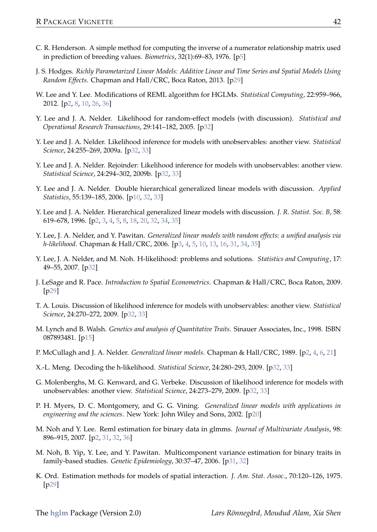- C. R. Henderson. A simple method for computing the inverse of a numerator relationship matrix used in prediction of breeding values. *Biometrics*, 32(1):69–83, 1976. [p5]
- J. S. Hodges. *Richly Parametarized Linear Models: Additive Linear and Time Series and Spatial Models Using Random Effects*. Chapman and Hall/CRC, Boca Raton, 2013. [p29]
- W. Lee and Y. Lee. Modifications of REML algorithm for HGLMs. *Statistical Computing*, 22:959–966, 2012. [p2, 8, 10, 26, 36]
- Y. Lee and J. A. Nelder. Likelihood for random-effect models (with discussion). *Statistical and Operational Research Transactions*, 29:141–182, 2005. [p32]
- Y. Lee and J. A. Nelder. Likelihood inference for models with unobservables: another view. *Statistical Science*, 24:255–269, 2009a. [p32, 33]
- Y. Lee and J. A. Nelder. Rejoinder: Likelihood inference for models with unobservables: another view. *Statistical Science*, 24:294–302, 2009b. [p32, 33]
- Y. Lee and J. A. Nelder. Double hierarchical generalized linear models with discussion. *Applied Statistics*, 55:139–185, 2006. [p10, 32, 33]
- Y. Lee and J. A. Nelder. Hierarchical generalized linear models with discussion. *J. R. Statist. Soc. B*, 58: 619–678, 1996. [p2, 3, 4, 5, 8, 18, 20, 32, 34, 35]
- Y. Lee, J. A. Nelder, and Y. Pawitan. *Generalized linear models with random effects: a unified analysis via h-likelihood*. Chapman & Hall/CRC, 2006. [p3, 4, 5, 10, 13, 16, 31, 34, 35]
- Y. Lee, J. A. Nelder, and M. Noh. H-likelihood: problems and solutions. *Statistics and Computing*, 17: 49–55, 2007. [p32]
- J. LeSage and R. Pace. *Introduction to Spatial Econometrics*. Chapman & Hall/CRC, Boca Raton, 2009. [p29]
- T. A. Louis. Discussion of likelihood inference for models with unobservables: another view. *Statistical Science*, 24:270–272, 2009. [p32, 33]
- M. Lynch and B. Walsh. *Genetics and analysis of Quantitative Traits*. Sinauer Associates, Inc., 1998. ISBN 087893481. [p15]
- P. McCullagh and J. A. Nelder. *Generalized linear models*. Chapman & Hall/CRC, 1989. [p2, 4, 6, 21]
- X.-L. Meng. Decoding the h-likelihood. *Statistical Science*, 24:280–293, 2009. [p32, 33]
- G. Molenberghs, M. G. Kenward, and G. Verbeke. Discussion of likelihood inference for models with unobservables: another view. *Statistical Science*, 24:273–279, 2009. [p32, 33]
- P. H. Myers, D. C. Montgomery, and G. G. Vining. *Generalized linear models with applications in engineering and the sciences*. New York: John Wiley and Sons, 2002. [p20]
- M. Noh and Y. Lee. Reml estimation for binary data in glmms. *Journal of Multivariate Analysis*, 98: 896–915, 2007. [p2, 31, 32, 36]
- M. Noh, B. Yip, Y. Lee, and Y. Pawitan. Multicomponent variance estimation for binary traits in family-based studies. *Genetic Epidemiology*, 30:37–47, 2006. [p31, 32]
- K. Ord. Estimation methods for models of spatial interaction. *J. Am. Stat. Assoc.*, 70:120–126, 1975. [p29]